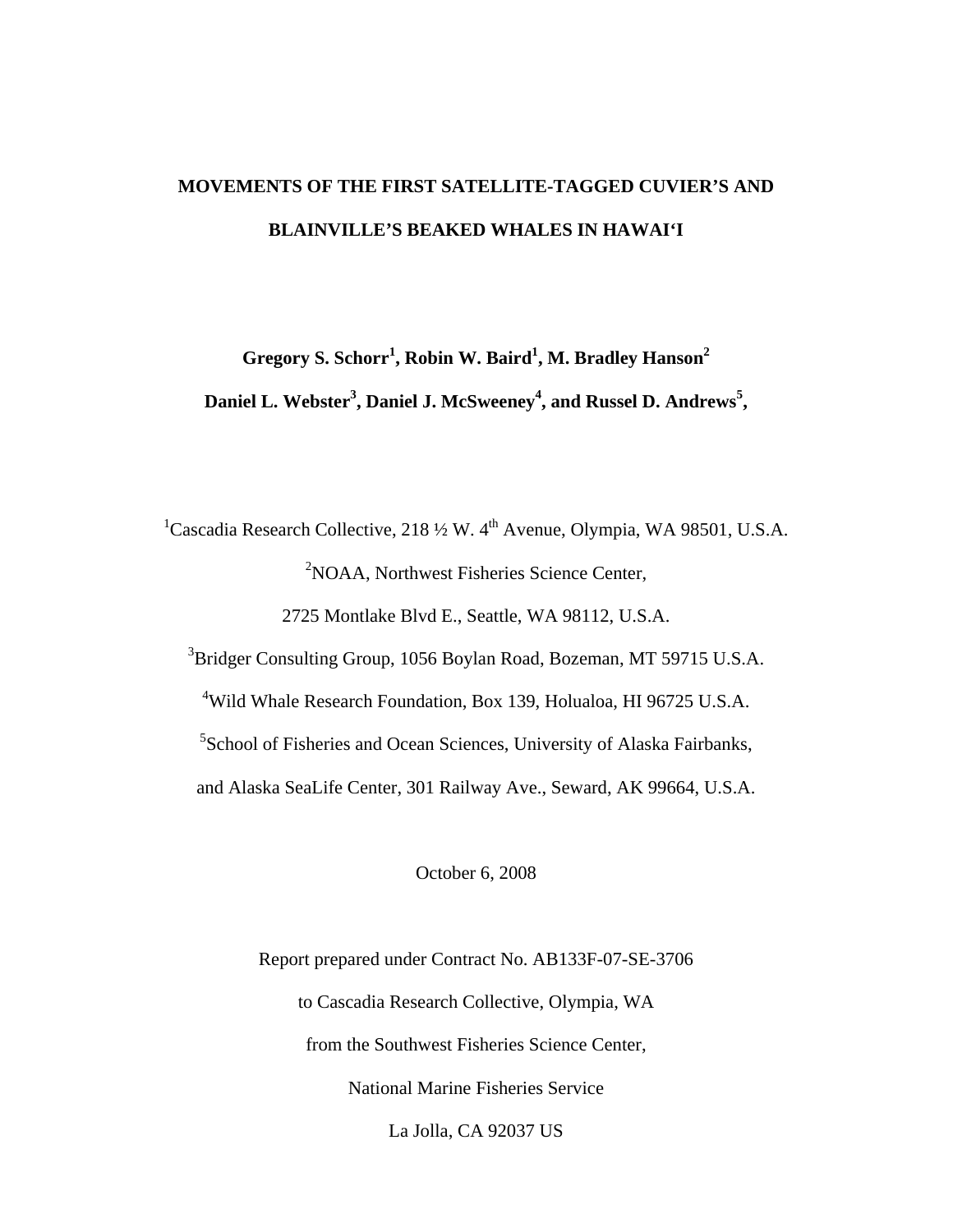# **MOVEMENTS OF THE FIRST SATELLITE-TAGGED CUVIER'S AND BLAINVILLE'S BEAKED WHALES IN HAWAI'I**

**Gregory S. Schorr<sup>1</sup> , Robin W. Baird<sup>1</sup> , M. Bradley Hanson<sup>2</sup> Daniel L. Webster<sup>3</sup> , Daniel J. McSweeney<sup>4</sup> , and Russel D. Andrews<sup>5</sup> ,** 

<sup>1</sup>Cascadia Research Collective, 218  $\frac{1}{2}$  W. 4<sup>th</sup> Avenue, Olympia, WA 98501, U.S.A. <sup>2</sup>NOAA, Northwest Fisheries Science Center, 2725 Montlake Blvd E., Seattle, WA 98112, U.S.A. <sup>3</sup>Bridger Consulting Group, 1056 Boylan Road, Bozeman, MT 59715 U.S.A. 4 Wild Whale Research Foundation, Box 139, Holualoa, HI 96725 U.S.A. <sup>5</sup>School of Fisheries and Ocean Sciences, University of Alaska Fairbanks, and Alaska SeaLife Center, 301 Railway Ave., Seward, AK 99664, U.S.A.

October 6, 2008

Report prepared under Contract No. AB133F-07-SE-3706 to Cascadia Research Collective, Olympia, WA from the Southwest Fisheries Science Center, National Marine Fisheries Service La Jolla, CA 92037 US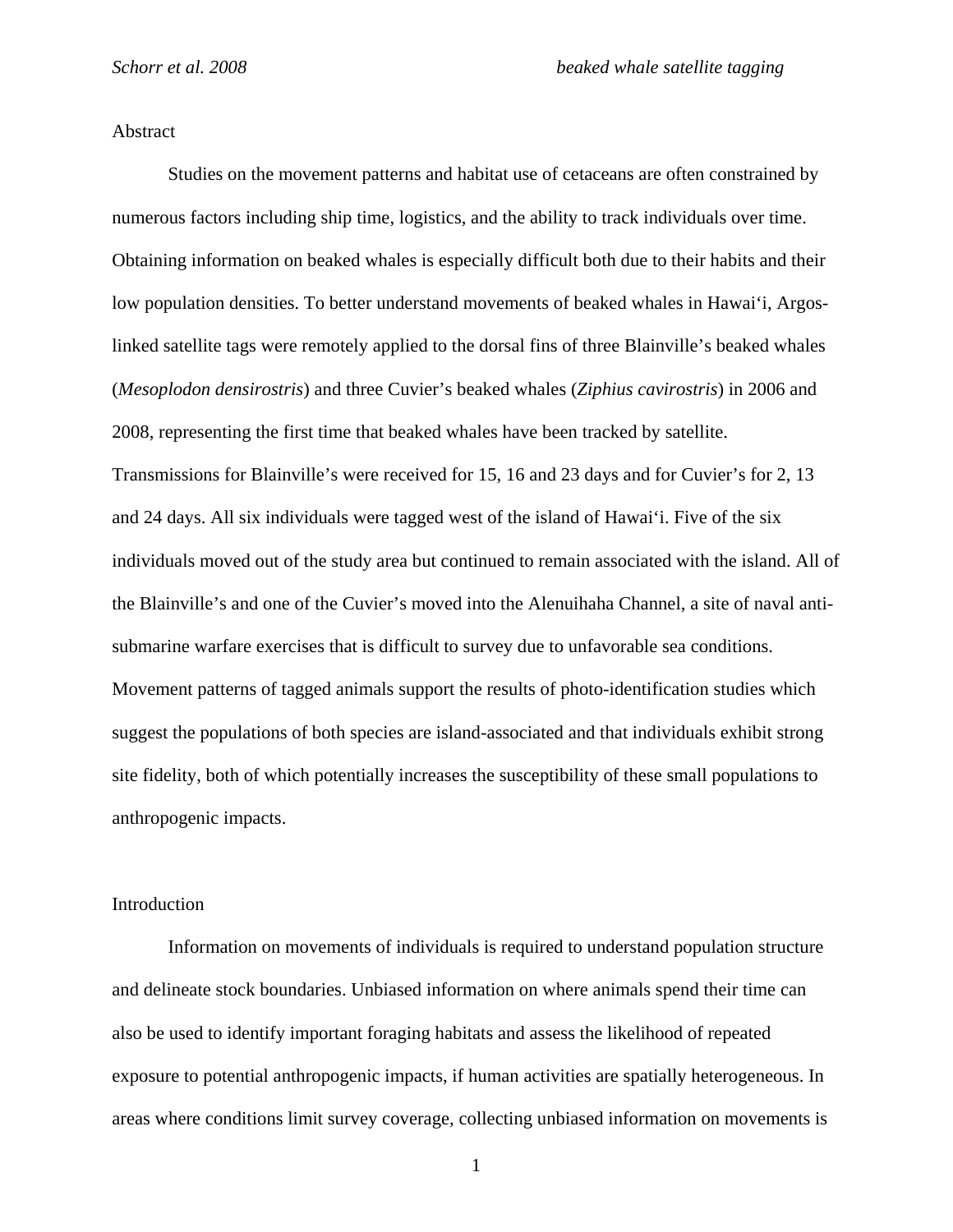## Abstract

Studies on the movement patterns and habitat use of cetaceans are often constrained by numerous factors including ship time, logistics, and the ability to track individuals over time. Obtaining information on beaked whales is especially difficult both due to their habits and their low population densities. To better understand movements of beaked whales in Hawai'i, Argoslinked satellite tags were remotely applied to the dorsal fins of three Blainville's beaked whales (*Mesoplodon densirostris*) and three Cuvier's beaked whales (*Ziphius cavirostris*) in 2006 and 2008, representing the first time that beaked whales have been tracked by satellite. Transmissions for Blainville's were received for 15, 16 and 23 days and for Cuvier's for 2, 13 and 24 days. All six individuals were tagged west of the island of Hawai'i. Five of the six individuals moved out of the study area but continued to remain associated with the island. All of the Blainville's and one of the Cuvier's moved into the Alenuihaha Channel, a site of naval antisubmarine warfare exercises that is difficult to survey due to unfavorable sea conditions. Movement patterns of tagged animals support the results of photo-identification studies which suggest the populations of both species are island-associated and that individuals exhibit strong site fidelity, both of which potentially increases the susceptibility of these small populations to anthropogenic impacts.

#### Introduction

Information on movements of individuals is required to understand population structure and delineate stock boundaries. Unbiased information on where animals spend their time can also be used to identify important foraging habitats and assess the likelihood of repeated exposure to potential anthropogenic impacts, if human activities are spatially heterogeneous. In areas where conditions limit survey coverage, collecting unbiased information on movements is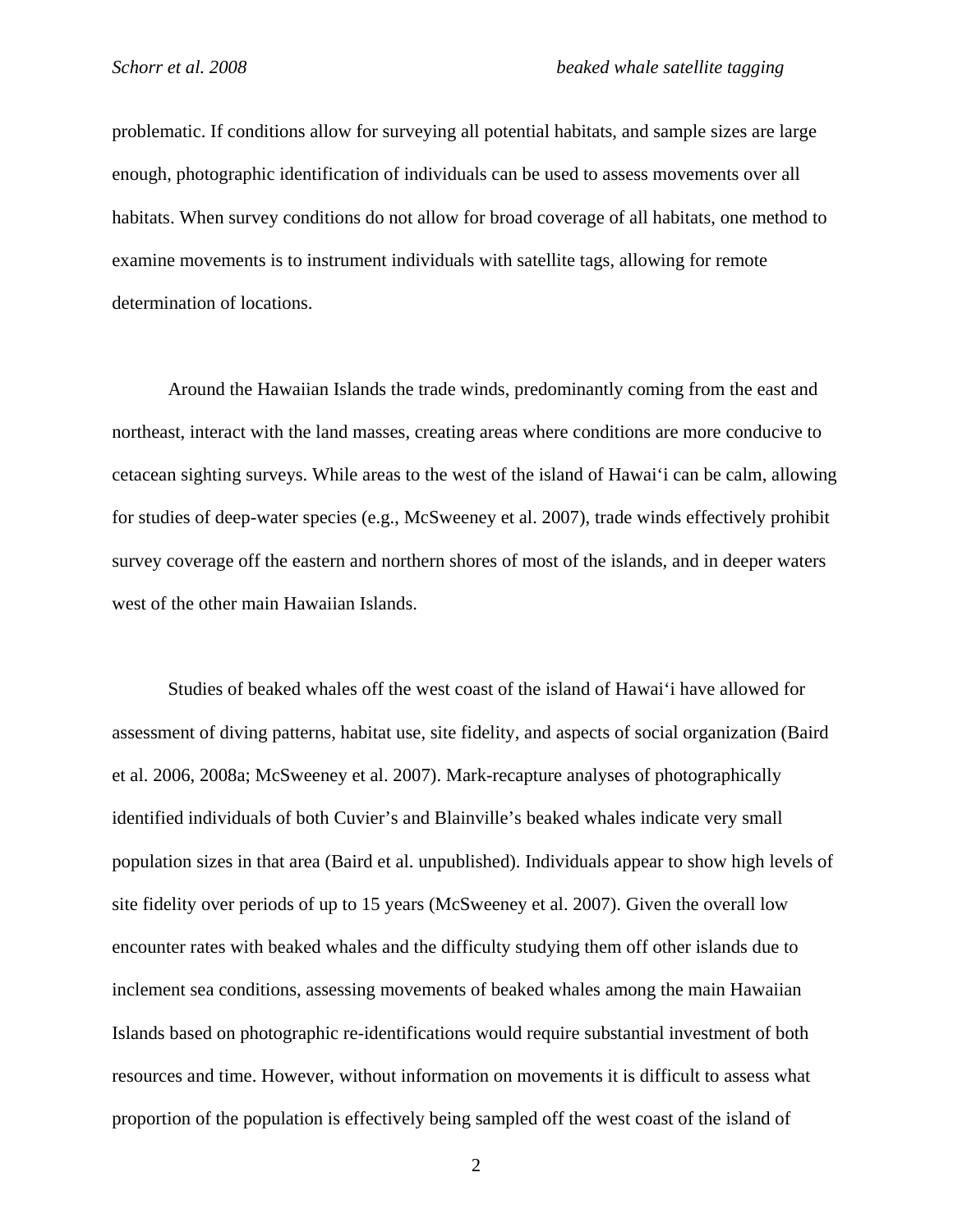problematic. If conditions allow for surveying all potential habitats, and sample sizes are large enough, photographic identification of individuals can be used to assess movements over all habitats. When survey conditions do not allow for broad coverage of all habitats, one method to examine movements is to instrument individuals with satellite tags, allowing for remote determination of locations.

Around the Hawaiian Islands the trade winds, predominantly coming from the east and northeast, interact with the land masses, creating areas where conditions are more conducive to cetacean sighting surveys. While areas to the west of the island of Hawai'i can be calm, allowing for studies of deep-water species (e.g., McSweeney et al. 2007), trade winds effectively prohibit survey coverage off the eastern and northern shores of most of the islands, and in deeper waters west of the other main Hawaiian Islands.

Studies of beaked whales off the west coast of the island of Hawai'i have allowed for assessment of diving patterns, habitat use, site fidelity, and aspects of social organization (Baird et al. 2006, 2008a; McSweeney et al. 2007). Mark-recapture analyses of photographically identified individuals of both Cuvier's and Blainville's beaked whales indicate very small population sizes in that area (Baird et al. unpublished). Individuals appear to show high levels of site fidelity over periods of up to 15 years (McSweeney et al. 2007). Given the overall low encounter rates with beaked whales and the difficulty studying them off other islands due to inclement sea conditions, assessing movements of beaked whales among the main Hawaiian Islands based on photographic re-identifications would require substantial investment of both resources and time. However, without information on movements it is difficult to assess what proportion of the population is effectively being sampled off the west coast of the island of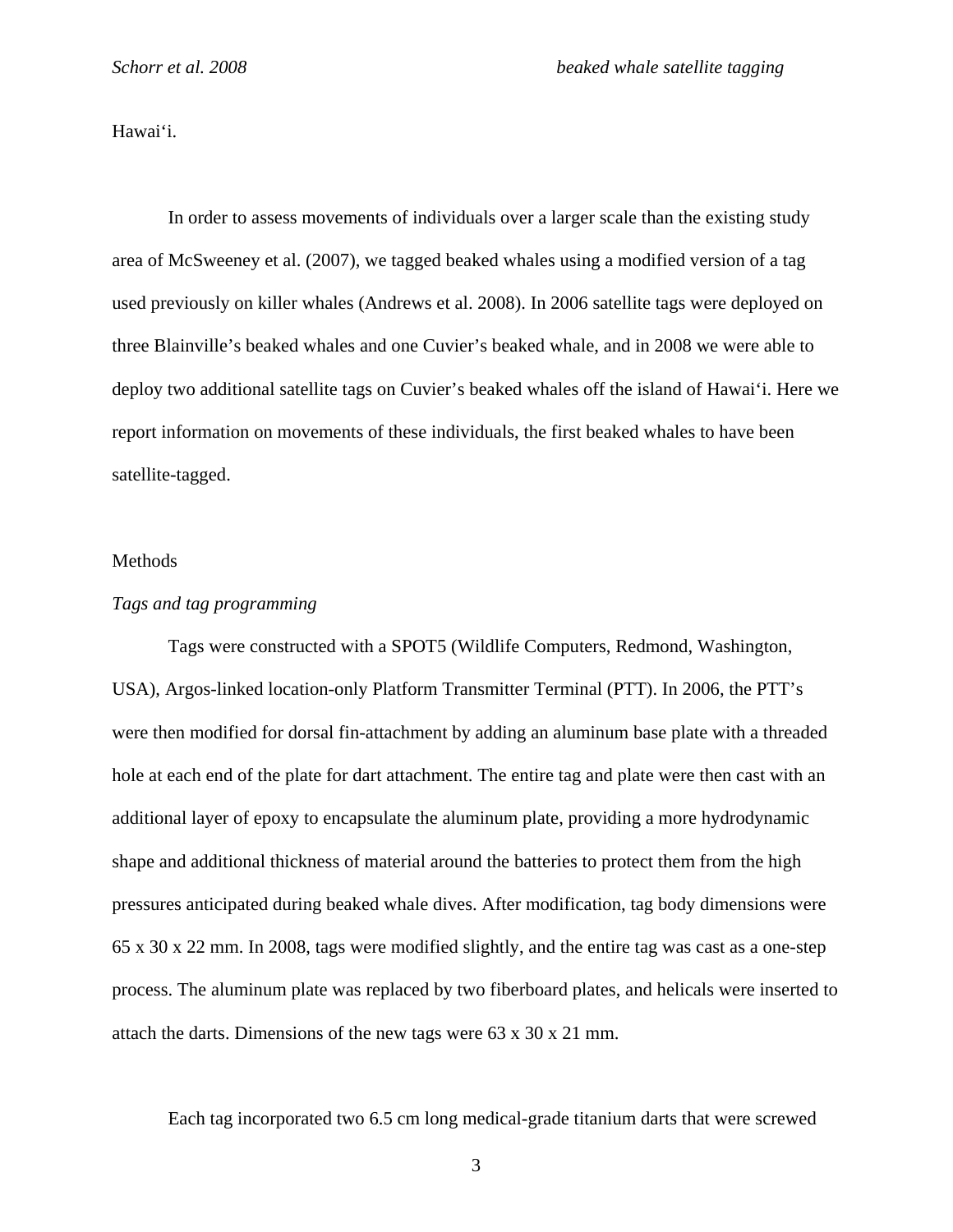Hawai'i.

In order to assess movements of individuals over a larger scale than the existing study area of McSweeney et al. (2007), we tagged beaked whales using a modified version of a tag used previously on killer whales (Andrews et al. 2008). In 2006 satellite tags were deployed on three Blainville's beaked whales and one Cuvier's beaked whale, and in 2008 we were able to deploy two additional satellite tags on Cuvier's beaked whales off the island of Hawai'i. Here we report information on movements of these individuals, the first beaked whales to have been satellite-tagged.

#### Methods

#### *Tags and tag programming*

 Tags were constructed with a SPOT5 (Wildlife Computers, Redmond, Washington, USA), Argos-linked location-only Platform Transmitter Terminal (PTT). In 2006, the PTT's were then modified for dorsal fin-attachment by adding an aluminum base plate with a threaded hole at each end of the plate for dart attachment. The entire tag and plate were then cast with an additional layer of epoxy to encapsulate the aluminum plate, providing a more hydrodynamic shape and additional thickness of material around the batteries to protect them from the high pressures anticipated during beaked whale dives. After modification, tag body dimensions were 65 x 30 x 22 mm. In 2008, tags were modified slightly, and the entire tag was cast as a one-step process. The aluminum plate was replaced by two fiberboard plates, and helicals were inserted to attach the darts. Dimensions of the new tags were 63 x 30 x 21 mm.

Each tag incorporated two 6.5 cm long medical-grade titanium darts that were screwed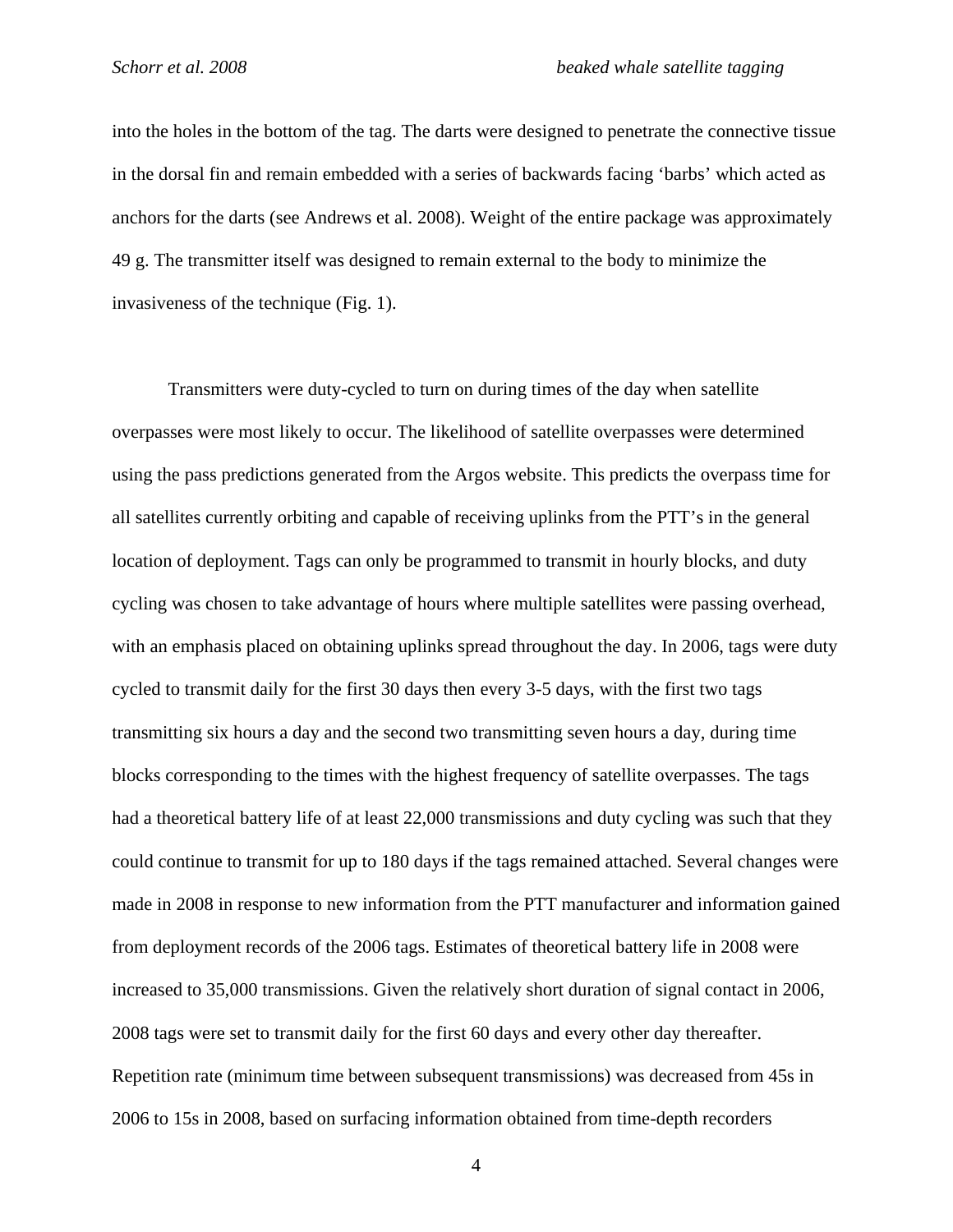into the holes in the bottom of the tag. The darts were designed to penetrate the connective tissue in the dorsal fin and remain embedded with a series of backwards facing 'barbs' which acted as anchors for the darts (see Andrews et al. 2008). Weight of the entire package was approximately 49 g. The transmitter itself was designed to remain external to the body to minimize the invasiveness of the technique (Fig. 1).

 Transmitters were duty-cycled to turn on during times of the day when satellite overpasses were most likely to occur. The likelihood of satellite overpasses were determined using the pass predictions generated from the Argos website. This predicts the overpass time for all satellites currently orbiting and capable of receiving uplinks from the PTT's in the general location of deployment. Tags can only be programmed to transmit in hourly blocks, and duty cycling was chosen to take advantage of hours where multiple satellites were passing overhead, with an emphasis placed on obtaining uplinks spread throughout the day. In 2006, tags were duty cycled to transmit daily for the first 30 days then every 3-5 days, with the first two tags transmitting six hours a day and the second two transmitting seven hours a day, during time blocks corresponding to the times with the highest frequency of satellite overpasses. The tags had a theoretical battery life of at least 22,000 transmissions and duty cycling was such that they could continue to transmit for up to 180 days if the tags remained attached. Several changes were made in 2008 in response to new information from the PTT manufacturer and information gained from deployment records of the 2006 tags. Estimates of theoretical battery life in 2008 were increased to 35,000 transmissions. Given the relatively short duration of signal contact in 2006, 2008 tags were set to transmit daily for the first 60 days and every other day thereafter. Repetition rate (minimum time between subsequent transmissions) was decreased from 45s in 2006 to 15s in 2008, based on surfacing information obtained from time-depth recorders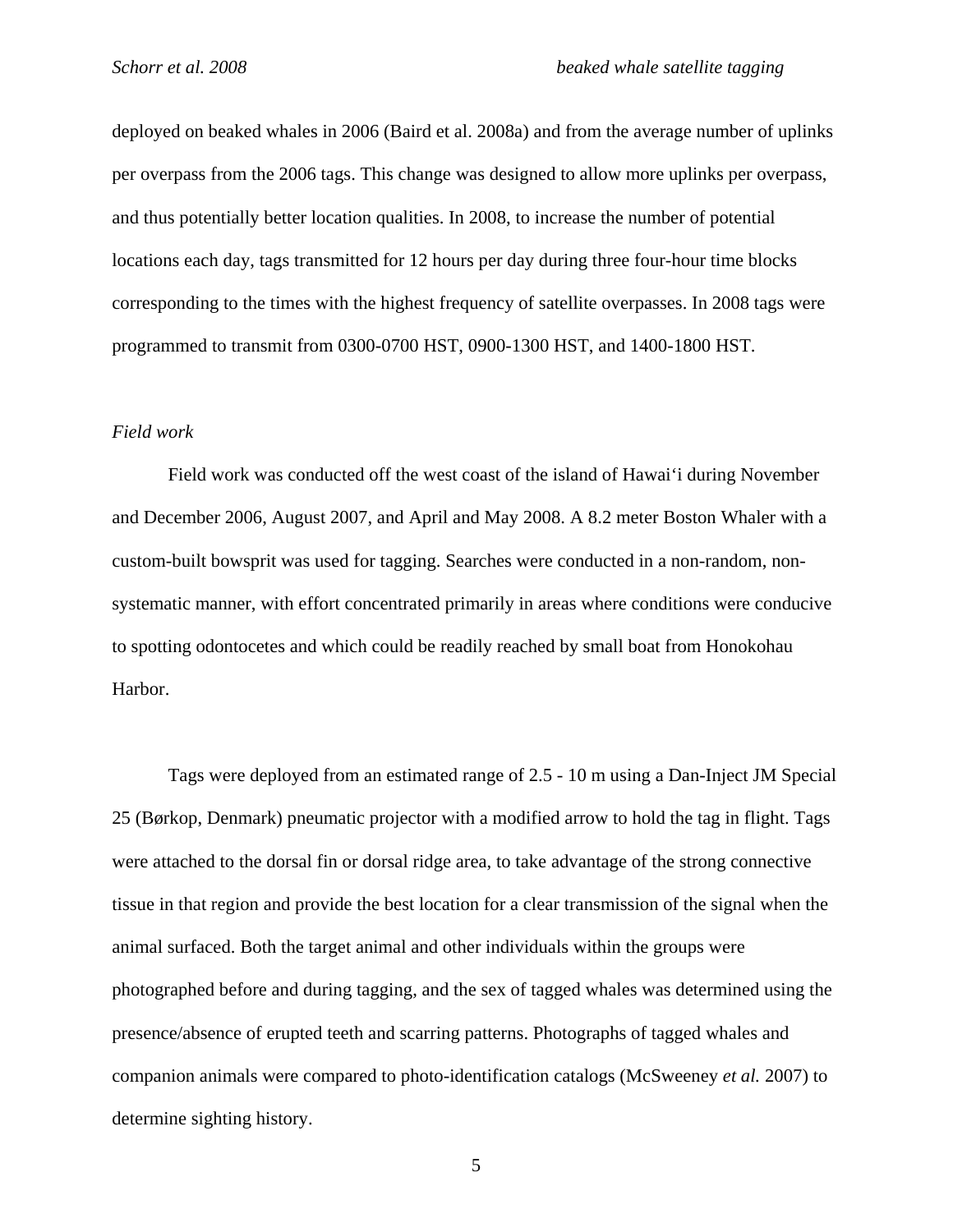deployed on beaked whales in 2006 (Baird et al. 2008a) and from the average number of uplinks per overpass from the 2006 tags. This change was designed to allow more uplinks per overpass, and thus potentially better location qualities. In 2008, to increase the number of potential locations each day, tags transmitted for 12 hours per day during three four-hour time blocks corresponding to the times with the highest frequency of satellite overpasses. In 2008 tags were programmed to transmit from 0300-0700 HST, 0900-1300 HST, and 1400-1800 HST.

## *Field work*

Field work was conducted off the west coast of the island of Hawai'i during November and December 2006, August 2007, and April and May 2008. A 8.2 meter Boston Whaler with a custom-built bowsprit was used for tagging. Searches were conducted in a non-random, nonsystematic manner, with effort concentrated primarily in areas where conditions were conducive to spotting odontocetes and which could be readily reached by small boat from Honokohau Harbor.

Tags were deployed from an estimated range of 2.5 - 10 m using a Dan-Inject JM Special 25 (Børkop, Denmark) pneumatic projector with a modified arrow to hold the tag in flight. Tags were attached to the dorsal fin or dorsal ridge area, to take advantage of the strong connective tissue in that region and provide the best location for a clear transmission of the signal when the animal surfaced. Both the target animal and other individuals within the groups were photographed before and during tagging, and the sex of tagged whales was determined using the presence/absence of erupted teeth and scarring patterns. Photographs of tagged whales and companion animals were compared to photo-identification catalogs (McSweeney *et al.* 2007) to determine sighting history.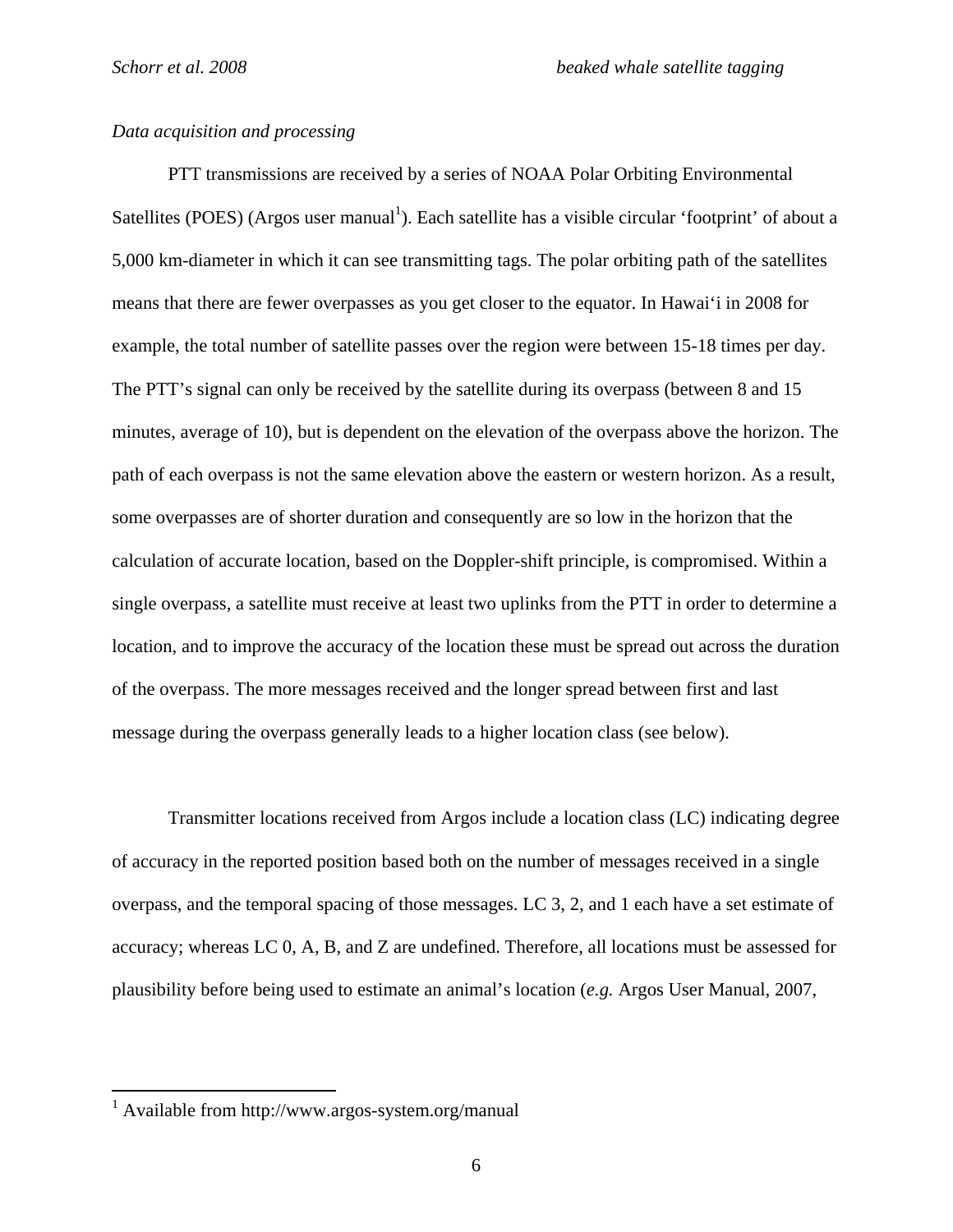## *Data acquisition and processing*

 PTT transmissions are received by a series of NOAA Polar Orbiting Environmental Satellites (POES) (Argos user manual<sup>1</sup>). Each satellite has a visible circular 'footprint' of about a 5,000 km-diameter in which it can see transmitting tags. The polar orbiting path of the satellites means that there are fewer overpasses as you get closer to the equator. In Hawai'i in 2008 for example, the total number of satellite passes over the region were between 15-18 times per day. The PTT's signal can only be received by the satellite during its overpass (between 8 and 15 minutes, average of 10), but is dependent on the elevation of the overpass above the horizon. The path of each overpass is not the same elevation above the eastern or western horizon. As a result, some overpasses are of shorter duration and consequently are so low in the horizon that the calculation of accurate location, based on the Doppler-shift principle, is compromised. Within a single overpass, a satellite must receive at least two uplinks from the PTT in order to determine a location, and to improve the accuracy of the location these must be spread out across the duration of the overpass. The more messages received and the longer spread between first and last message during the overpass generally leads to a higher location class (see below).

Transmitter locations received from Argos include a location class (LC) indicating degree of accuracy in the reported position based both on the number of messages received in a single overpass, and the temporal spacing of those messages. LC 3, 2, and 1 each have a set estimate of accuracy; whereas LC 0, A, B, and Z are undefined. Therefore, all locations must be assessed for plausibility before being used to estimate an animal's location (*e.g.* Argos User Manual, 2007,

<sup>1</sup> Available from http://www.argos-system.org/manual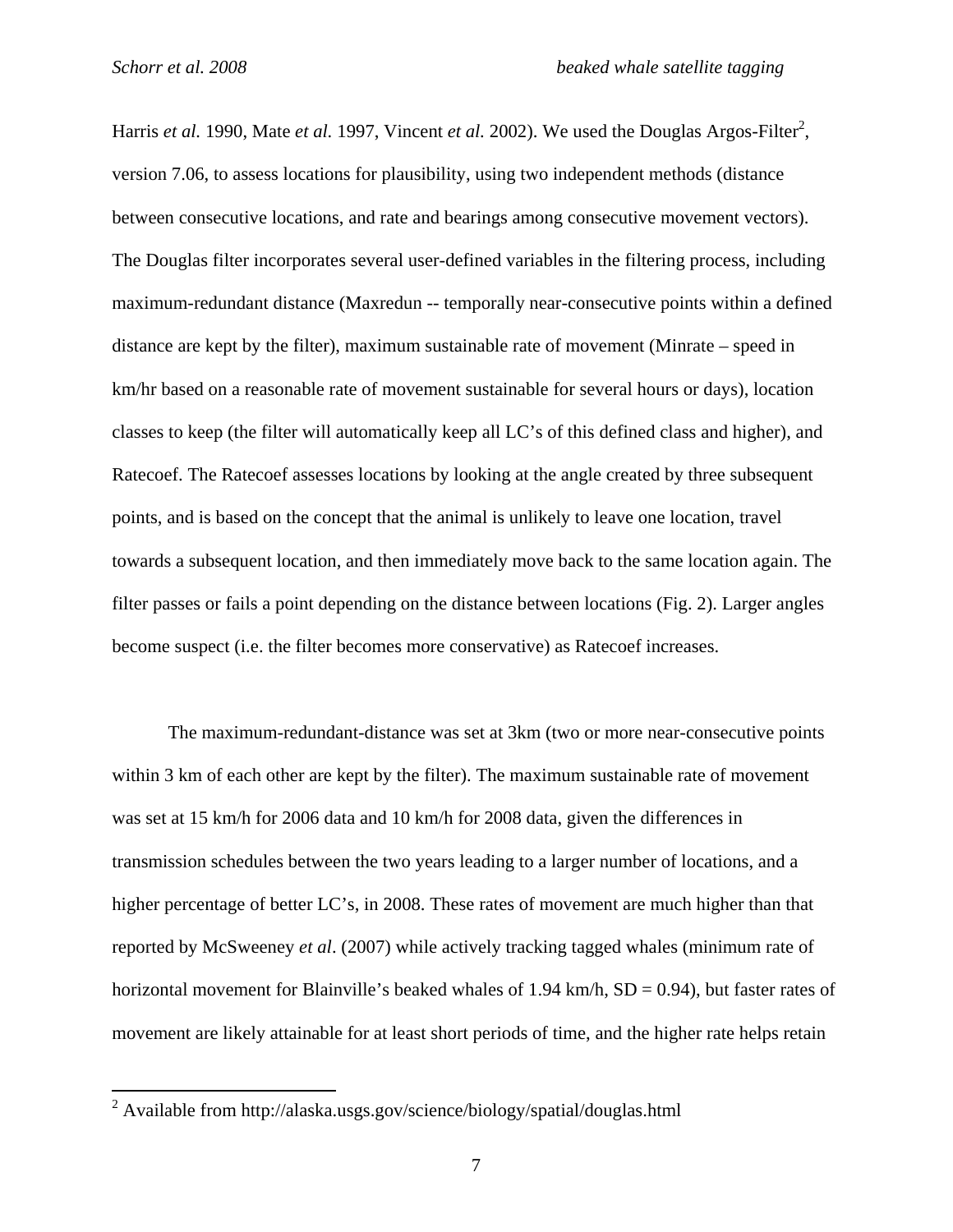Harris *et al.* 1990, Mate *et al.* 1997, Vincent *et al.* 2002). We used the Douglas Argos-Filter<sup>2</sup>, version 7.06, to assess locations for plausibility, using two independent methods (distance between consecutive locations, and rate and bearings among consecutive movement vectors). The Douglas filter incorporates several user-defined variables in the filtering process, including maximum-redundant distance (Maxredun -- temporally near-consecutive points within a defined distance are kept by the filter), maximum sustainable rate of movement (Minrate – speed in km/hr based on a reasonable rate of movement sustainable for several hours or days), location classes to keep (the filter will automatically keep all LC's of this defined class and higher), and Ratecoef. The Ratecoef assesses locations by looking at the angle created by three subsequent points, and is based on the concept that the animal is unlikely to leave one location, travel towards a subsequent location, and then immediately move back to the same location again. The filter passes or fails a point depending on the distance between locations (Fig. 2). Larger angles become suspect (i.e. the filter becomes more conservative) as Ratecoef increases.

The maximum-redundant-distance was set at 3km (two or more near-consecutive points within 3 km of each other are kept by the filter). The maximum sustainable rate of movement was set at 15 km/h for 2006 data and 10 km/h for 2008 data, given the differences in transmission schedules between the two years leading to a larger number of locations, and a higher percentage of better LC's, in 2008. These rates of movement are much higher than that reported by McSweeney *et al*. (2007) while actively tracking tagged whales (minimum rate of horizontal movement for Blainville's beaked whales of 1.94 km/h,  $SD = 0.94$ ), but faster rates of movement are likely attainable for at least short periods of time, and the higher rate helps retain

 2 Available from http://alaska.usgs.gov/science/biology/spatial/douglas.html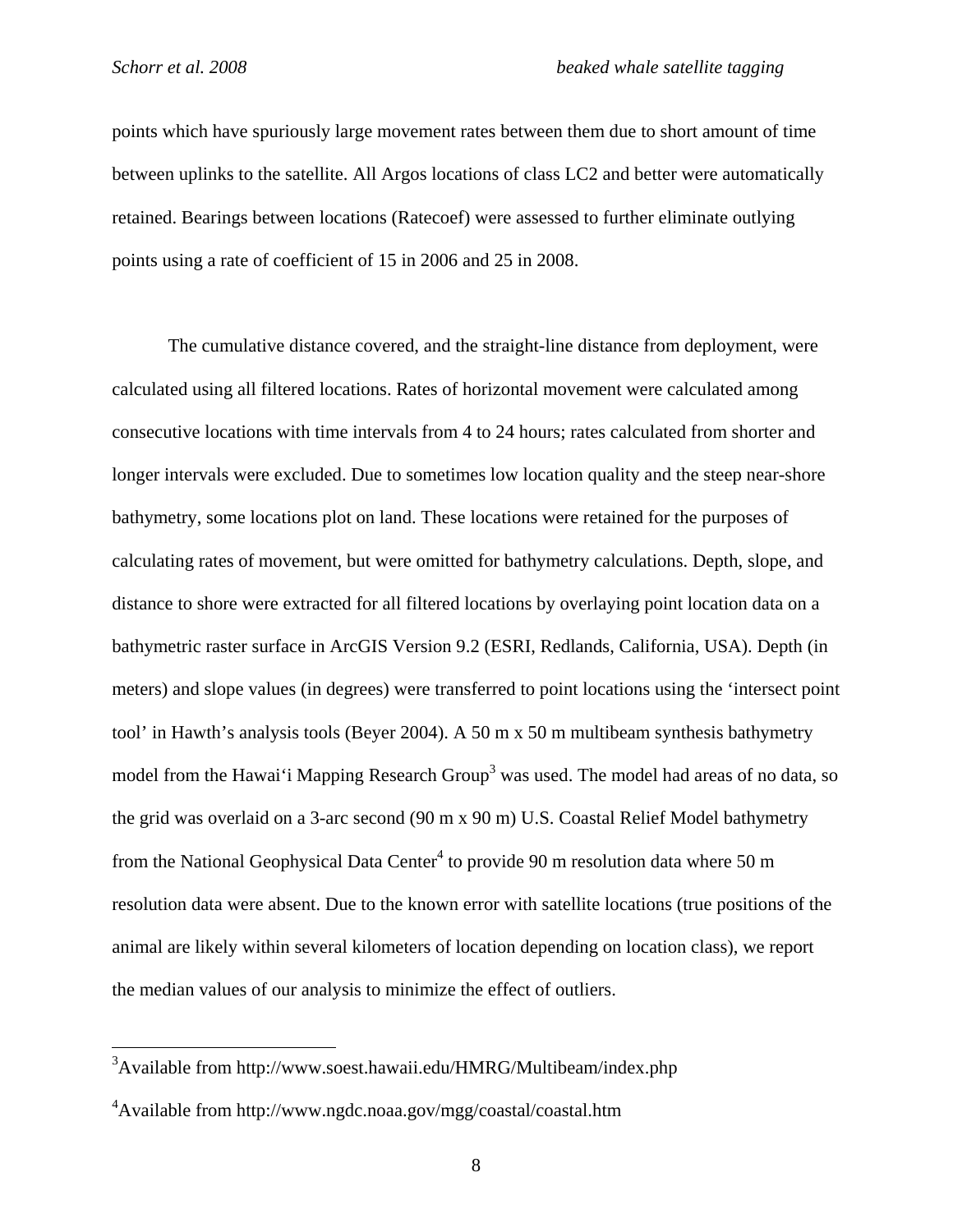$\overline{a}$ 

points which have spuriously large movement rates between them due to short amount of time between uplinks to the satellite. All Argos locations of class LC2 and better were automatically retained. Bearings between locations (Ratecoef) were assessed to further eliminate outlying points using a rate of coefficient of 15 in 2006 and 25 in 2008.

The cumulative distance covered, and the straight-line distance from deployment, were calculated using all filtered locations. Rates of horizontal movement were calculated among consecutive locations with time intervals from 4 to 24 hours; rates calculated from shorter and longer intervals were excluded. Due to sometimes low location quality and the steep near-shore bathymetry, some locations plot on land. These locations were retained for the purposes of calculating rates of movement, but were omitted for bathymetry calculations. Depth, slope, and distance to shore were extracted for all filtered locations by overlaying point location data on a bathymetric raster surface in ArcGIS Version 9.2 (ESRI, Redlands, California, USA). Depth (in meters) and slope values (in degrees) were transferred to point locations using the 'intersect point tool' in Hawth's analysis tools (Beyer 2004). A 50 m x 50 m multibeam synthesis bathymetry model from the Hawai'i Mapping Research Group<sup>3</sup> was used. The model had areas of no data, so the grid was overlaid on a 3-arc second (90 m x 90 m) U.S. Coastal Relief Model bathymetry from the National Geophysical Data Center<sup>4</sup> to provide 90 m resolution data where 50 m resolution data were absent. Due to the known error with satellite locations (true positions of the animal are likely within several kilometers of location depending on location class), we report the median values of our analysis to minimize the effect of outliers.

<sup>&</sup>lt;sup>3</sup>Available from http://www.soest.hawaii.edu/HMRG/Multibeam/index.php

<sup>4</sup> Available from http://www.ngdc.noaa.gov/mgg/coastal/coastal.htm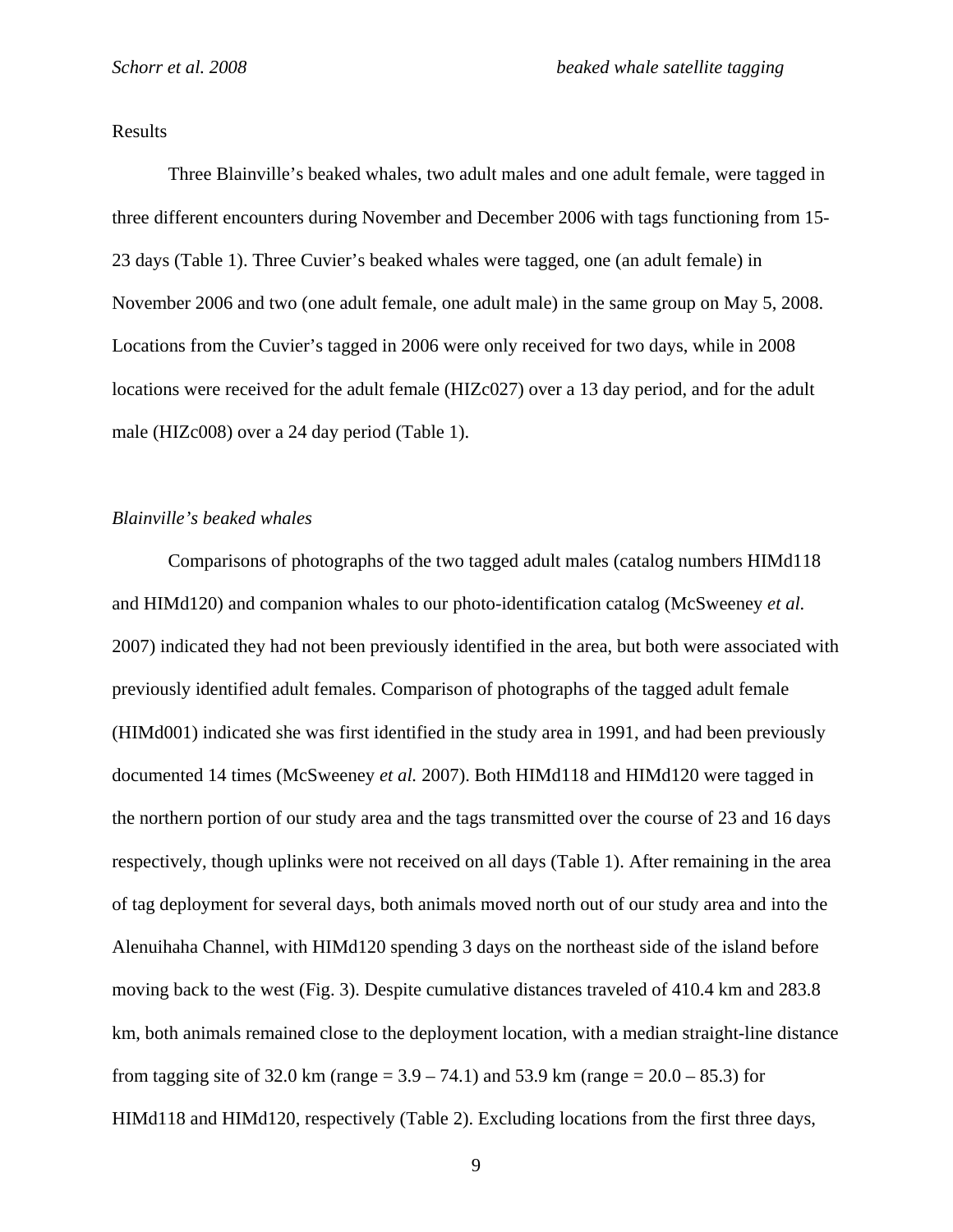## Results

Three Blainville's beaked whales, two adult males and one adult female, were tagged in three different encounters during November and December 2006 with tags functioning from 15- 23 days (Table 1). Three Cuvier's beaked whales were tagged, one (an adult female) in November 2006 and two (one adult female, one adult male) in the same group on May 5, 2008. Locations from the Cuvier's tagged in 2006 were only received for two days, while in 2008 locations were received for the adult female (HIZc027) over a 13 day period, and for the adult male (HIZc008) over a 24 day period (Table 1).

#### *Blainville's beaked whales*

Comparisons of photographs of the two tagged adult males (catalog numbers HIMd118 and HIMd120) and companion whales to our photo-identification catalog (McSweeney *et al.* 2007) indicated they had not been previously identified in the area, but both were associated with previously identified adult females. Comparison of photographs of the tagged adult female (HIMd001) indicated she was first identified in the study area in 1991, and had been previously documented 14 times (McSweeney *et al.* 2007). Both HIMd118 and HIMd120 were tagged in the northern portion of our study area and the tags transmitted over the course of 23 and 16 days respectively, though uplinks were not received on all days (Table 1). After remaining in the area of tag deployment for several days, both animals moved north out of our study area and into the Alenuihaha Channel, with HIMd120 spending 3 days on the northeast side of the island before moving back to the west (Fig. 3). Despite cumulative distances traveled of 410.4 km and 283.8 km, both animals remained close to the deployment location, with a median straight-line distance from tagging site of 32.0 km (range =  $3.9 - 74.1$ ) and 53.9 km (range =  $20.0 - 85.3$ ) for HIMd118 and HIMd120, respectively (Table 2). Excluding locations from the first three days,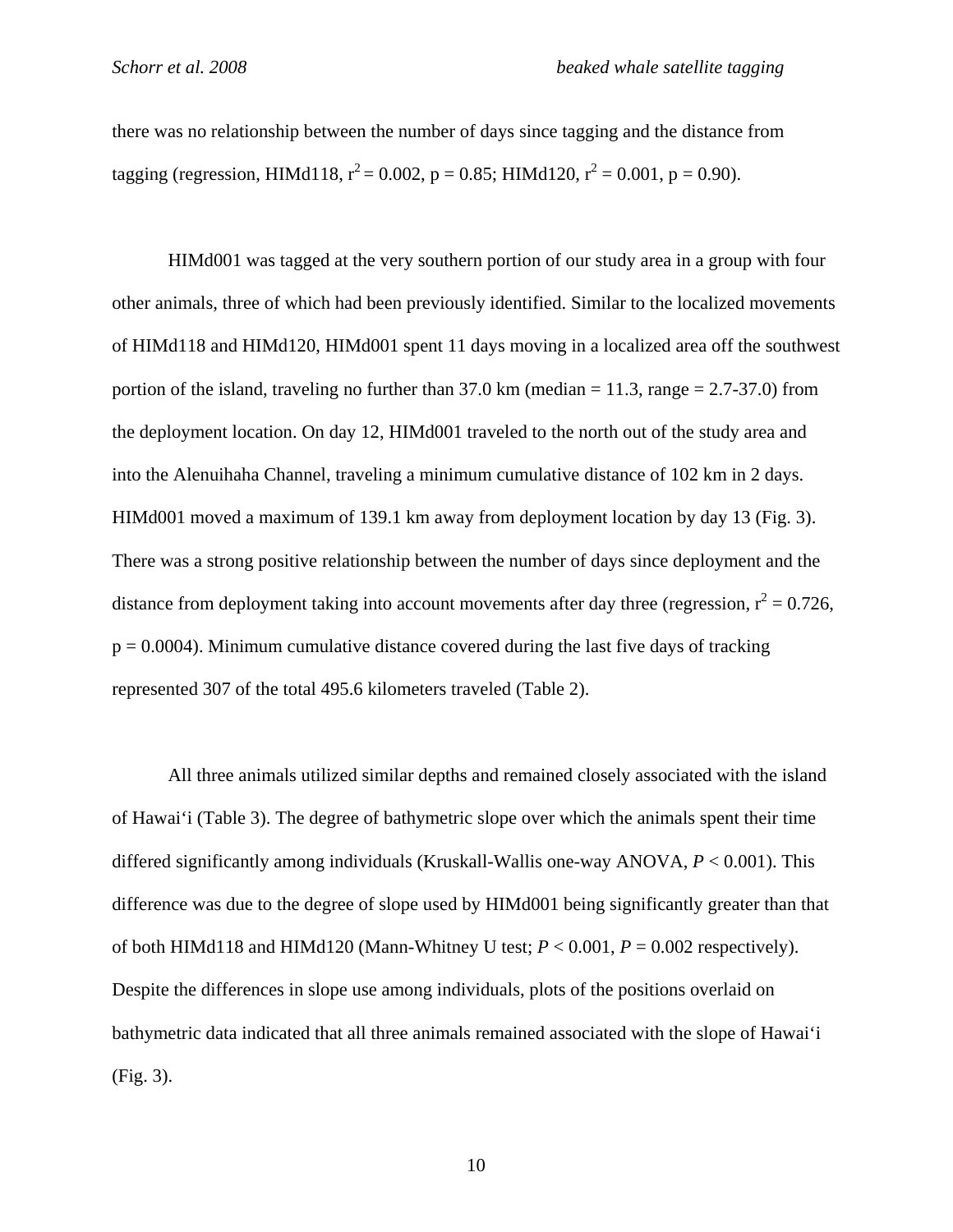there was no relationship between the number of days since tagging and the distance from tagging (regression, HIMd118,  $r^2 = 0.002$ ,  $p = 0.85$ ; HIMd120,  $r^2 = 0.001$ ,  $p = 0.90$ ).

HIMd001 was tagged at the very southern portion of our study area in a group with four other animals, three of which had been previously identified. Similar to the localized movements of HIMd118 and HIMd120, HIMd001 spent 11 days moving in a localized area off the southwest portion of the island, traveling no further than  $37.0 \text{ km}$  (median = 11.3, range = 2.7-37.0) from the deployment location. On day 12, HIMd001 traveled to the north out of the study area and into the Alenuihaha Channel, traveling a minimum cumulative distance of 102 km in 2 days. HIMd001 moved a maximum of 139.1 km away from deployment location by day 13 (Fig. 3). There was a strong positive relationship between the number of days since deployment and the distance from deployment taking into account movements after day three (regression,  $r^2 = 0.726$ ,  $p = 0.0004$ ). Minimum cumulative distance covered during the last five days of tracking represented 307 of the total 495.6 kilometers traveled (Table 2).

All three animals utilized similar depths and remained closely associated with the island of Hawai'i (Table 3). The degree of bathymetric slope over which the animals spent their time differed significantly among individuals (Kruskall-Wallis one-way ANOVA, *P* < 0.001). This difference was due to the degree of slope used by HIMd001 being significantly greater than that of both HIMd118 and HIMd120 (Mann-Whitney U test;  $P < 0.001$ ,  $P = 0.002$  respectively). Despite the differences in slope use among individuals, plots of the positions overlaid on bathymetric data indicated that all three animals remained associated with the slope of Hawai'i (Fig. 3).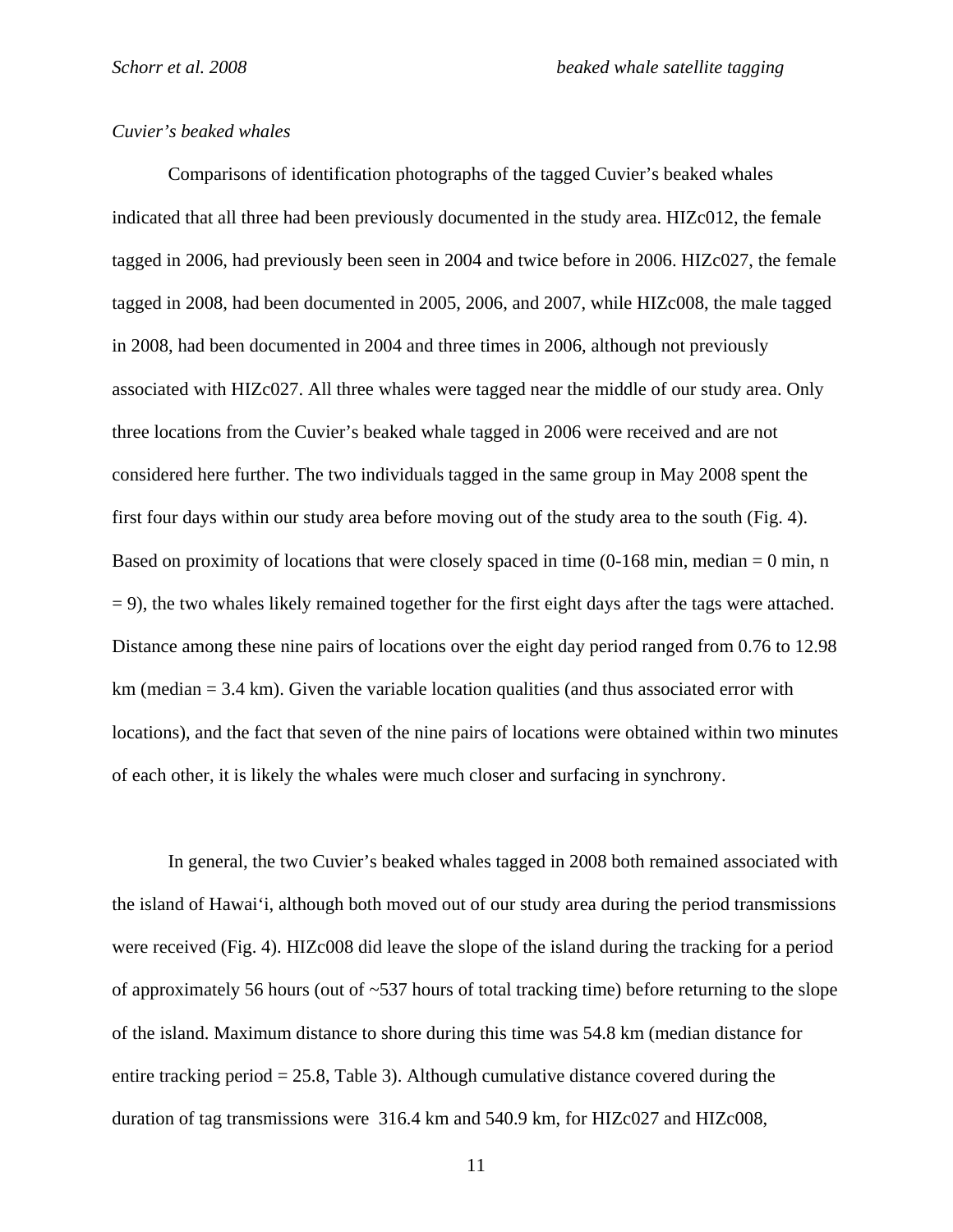## *Cuvier's beaked whales*

 Comparisons of identification photographs of the tagged Cuvier's beaked whales indicated that all three had been previously documented in the study area. HIZc012, the female tagged in 2006, had previously been seen in 2004 and twice before in 2006. HIZc027, the female tagged in 2008, had been documented in 2005, 2006, and 2007, while HIZc008, the male tagged in 2008, had been documented in 2004 and three times in 2006, although not previously associated with HIZc027. All three whales were tagged near the middle of our study area. Only three locations from the Cuvier's beaked whale tagged in 2006 were received and are not considered here further. The two individuals tagged in the same group in May 2008 spent the first four days within our study area before moving out of the study area to the south (Fig. 4). Based on proximity of locations that were closely spaced in time  $(0-168 \text{ min}, \text{median} = 0 \text{ min}, n$  $= 9$ ), the two whales likely remained together for the first eight days after the tags were attached. Distance among these nine pairs of locations over the eight day period ranged from 0.76 to 12.98  $km$  (median  $= 3.4$  km). Given the variable location qualities (and thus associated error with locations), and the fact that seven of the nine pairs of locations were obtained within two minutes of each other, it is likely the whales were much closer and surfacing in synchrony.

 In general, the two Cuvier's beaked whales tagged in 2008 both remained associated with the island of Hawai'i, although both moved out of our study area during the period transmissions were received (Fig. 4). HIZc008 did leave the slope of the island during the tracking for a period of approximately 56 hours (out of  $\sim$  537 hours of total tracking time) before returning to the slope of the island. Maximum distance to shore during this time was 54.8 km (median distance for entire tracking period  $= 25.8$ , Table 3). Although cumulative distance covered during the duration of tag transmissions were 316.4 km and 540.9 km, for HIZc027 and HIZc008,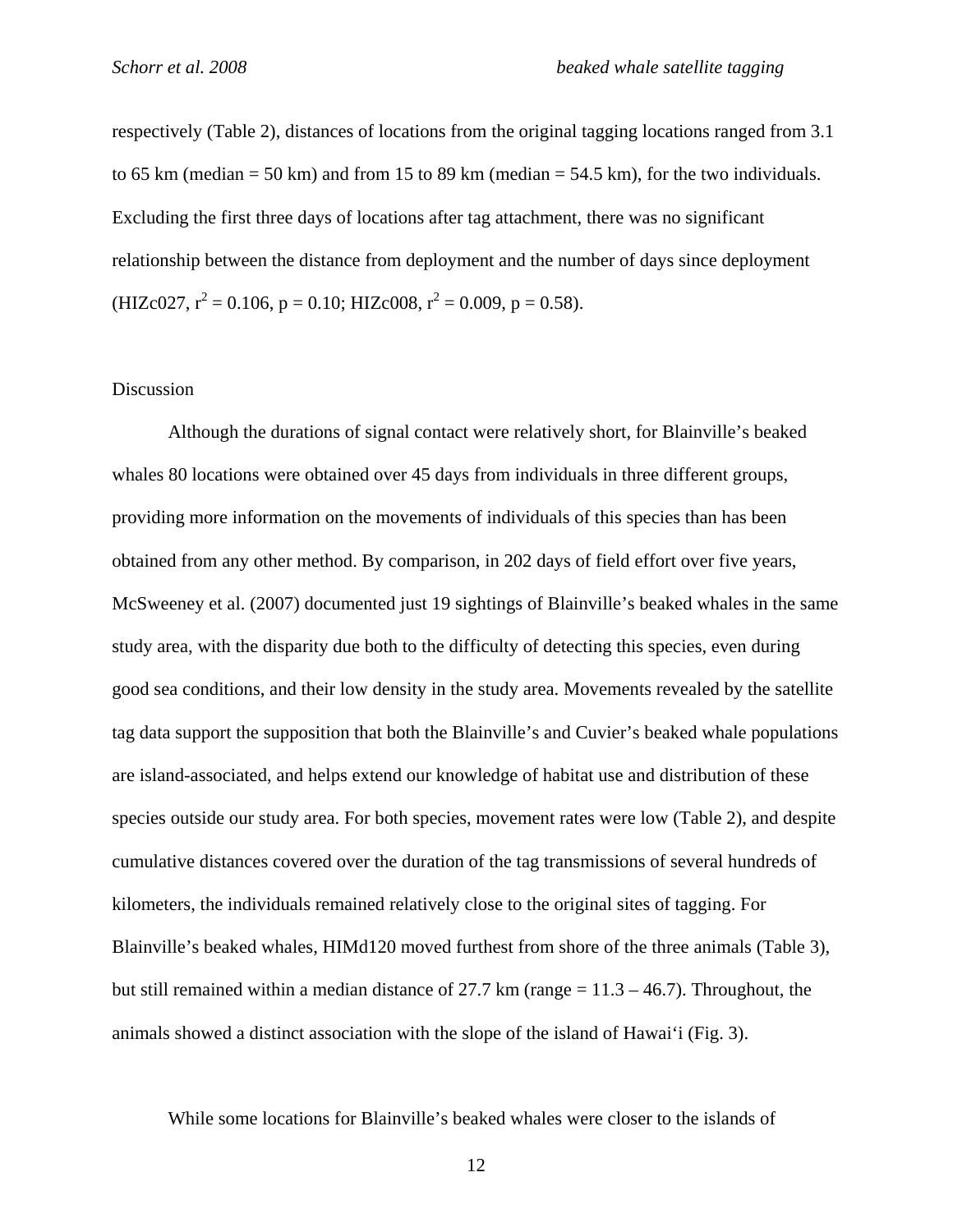respectively (Table 2), distances of locations from the original tagging locations ranged from 3.1 to 65 km (median = 50 km) and from 15 to 89 km (median =  $54.5$  km), for the two individuals. Excluding the first three days of locations after tag attachment, there was no significant relationship between the distance from deployment and the number of days since deployment (HIZc027,  $r^2 = 0.106$ ,  $p = 0.10$ ; HIZc008,  $r^2 = 0.009$ ,  $p = 0.58$ ).

#### Discussion

 Although the durations of signal contact were relatively short, for Blainville's beaked whales 80 locations were obtained over 45 days from individuals in three different groups, providing more information on the movements of individuals of this species than has been obtained from any other method. By comparison, in 202 days of field effort over five years, McSweeney et al. (2007) documented just 19 sightings of Blainville's beaked whales in the same study area, with the disparity due both to the difficulty of detecting this species, even during good sea conditions, and their low density in the study area. Movements revealed by the satellite tag data support the supposition that both the Blainville's and Cuvier's beaked whale populations are island-associated, and helps extend our knowledge of habitat use and distribution of these species outside our study area. For both species, movement rates were low (Table 2), and despite cumulative distances covered over the duration of the tag transmissions of several hundreds of kilometers, the individuals remained relatively close to the original sites of tagging. For Blainville's beaked whales, HIMd120 moved furthest from shore of the three animals (Table 3), but still remained within a median distance of 27.7 km (range  $= 11.3 - 46.7$ ). Throughout, the animals showed a distinct association with the slope of the island of Hawai'i (Fig. 3).

While some locations for Blainville's beaked whales were closer to the islands of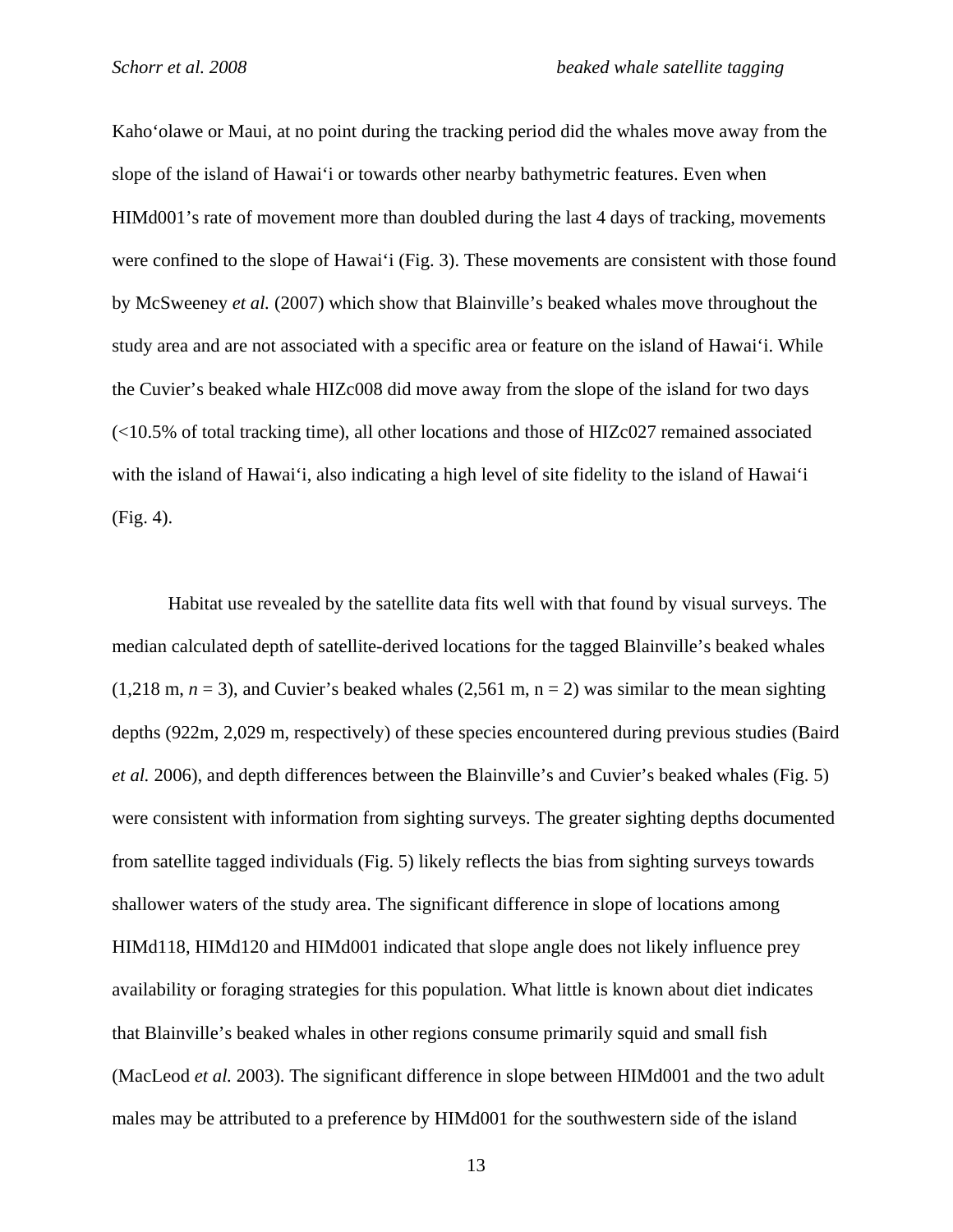Kaho'olawe or Maui, at no point during the tracking period did the whales move away from the slope of the island of Hawai'i or towards other nearby bathymetric features. Even when HIMd001's rate of movement more than doubled during the last 4 days of tracking, movements were confined to the slope of Hawai'i (Fig. 3). These movements are consistent with those found by McSweeney *et al.* (2007) which show that Blainville's beaked whales move throughout the study area and are not associated with a specific area or feature on the island of Hawai'i. While the Cuvier's beaked whale HIZc008 did move away from the slope of the island for two days (<10.5% of total tracking time), all other locations and those of HIZc027 remained associated with the island of Hawai'i, also indicating a high level of site fidelity to the island of Hawai'i (Fig. 4).

Habitat use revealed by the satellite data fits well with that found by visual surveys. The median calculated depth of satellite-derived locations for the tagged Blainville's beaked whales  $(1,218 \text{ m}, n = 3)$ , and Cuvier's beaked whales  $(2,561 \text{ m}, n = 2)$  was similar to the mean sighting depths (922m, 2,029 m, respectively) of these species encountered during previous studies (Baird *et al.* 2006), and depth differences between the Blainville's and Cuvier's beaked whales (Fig. 5) were consistent with information from sighting surveys. The greater sighting depths documented from satellite tagged individuals (Fig. 5) likely reflects the bias from sighting surveys towards shallower waters of the study area. The significant difference in slope of locations among HIMd118, HIMd120 and HIMd001 indicated that slope angle does not likely influence prey availability or foraging strategies for this population. What little is known about diet indicates that Blainville's beaked whales in other regions consume primarily squid and small fish (MacLeod *et al.* 2003). The significant difference in slope between HIMd001 and the two adult males may be attributed to a preference by HIMd001 for the southwestern side of the island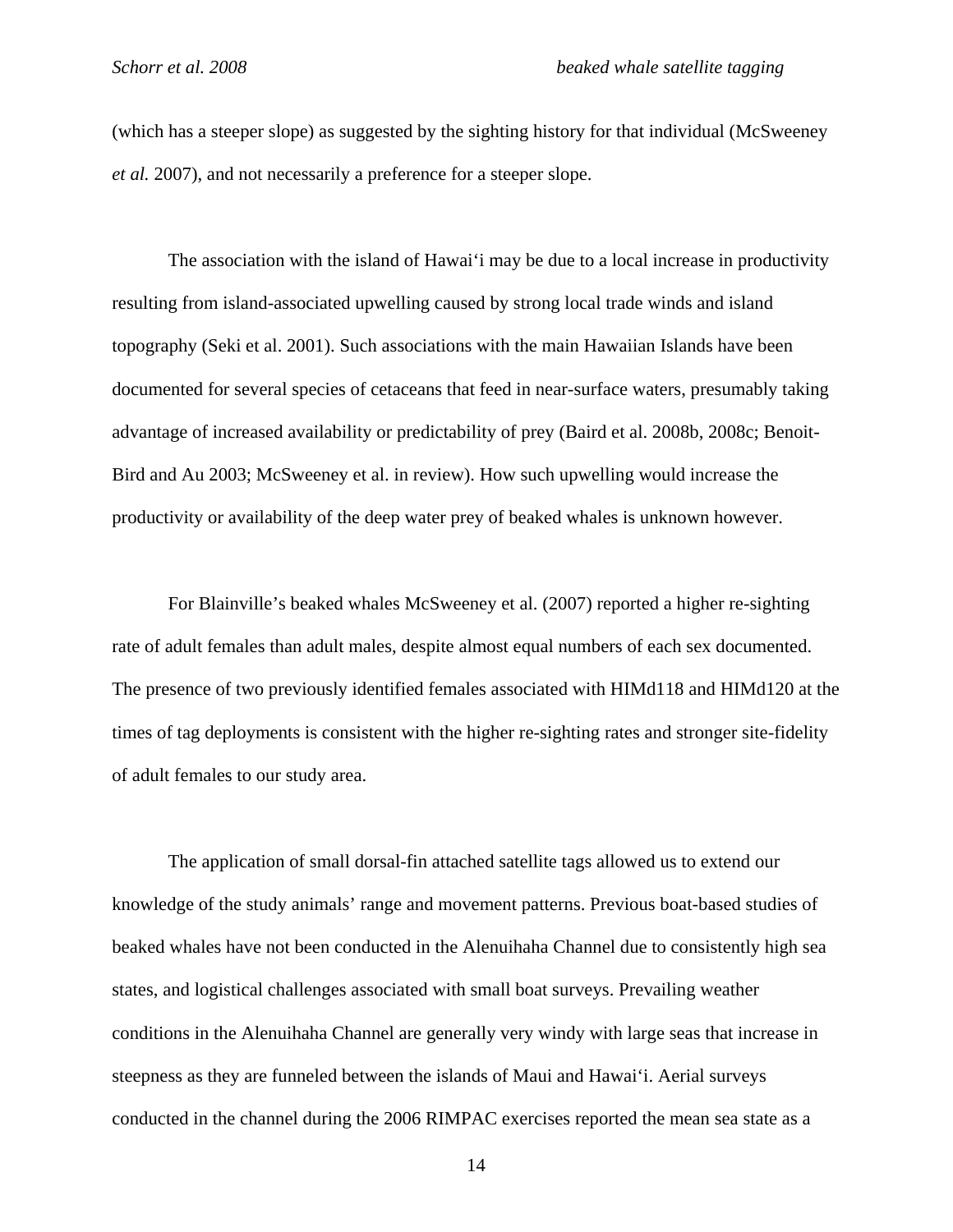(which has a steeper slope) as suggested by the sighting history for that individual (McSweeney *et al.* 2007), and not necessarily a preference for a steeper slope.

The association with the island of Hawai'i may be due to a local increase in productivity resulting from island-associated upwelling caused by strong local trade winds and island topography (Seki et al. 2001). Such associations with the main Hawaiian Islands have been documented for several species of cetaceans that feed in near-surface waters, presumably taking advantage of increased availability or predictability of prey (Baird et al. 2008b, 2008c; Benoit-Bird and Au 2003; McSweeney et al. in review). How such upwelling would increase the productivity or availability of the deep water prey of beaked whales is unknown however.

For Blainville's beaked whales McSweeney et al. (2007) reported a higher re-sighting rate of adult females than adult males, despite almost equal numbers of each sex documented. The presence of two previously identified females associated with HIMd118 and HIMd120 at the times of tag deployments is consistent with the higher re-sighting rates and stronger site-fidelity of adult females to our study area.

The application of small dorsal-fin attached satellite tags allowed us to extend our knowledge of the study animals' range and movement patterns. Previous boat-based studies of beaked whales have not been conducted in the Alenuihaha Channel due to consistently high sea states, and logistical challenges associated with small boat surveys. Prevailing weather conditions in the Alenuihaha Channel are generally very windy with large seas that increase in steepness as they are funneled between the islands of Maui and Hawai'i. Aerial surveys conducted in the channel during the 2006 RIMPAC exercises reported the mean sea state as a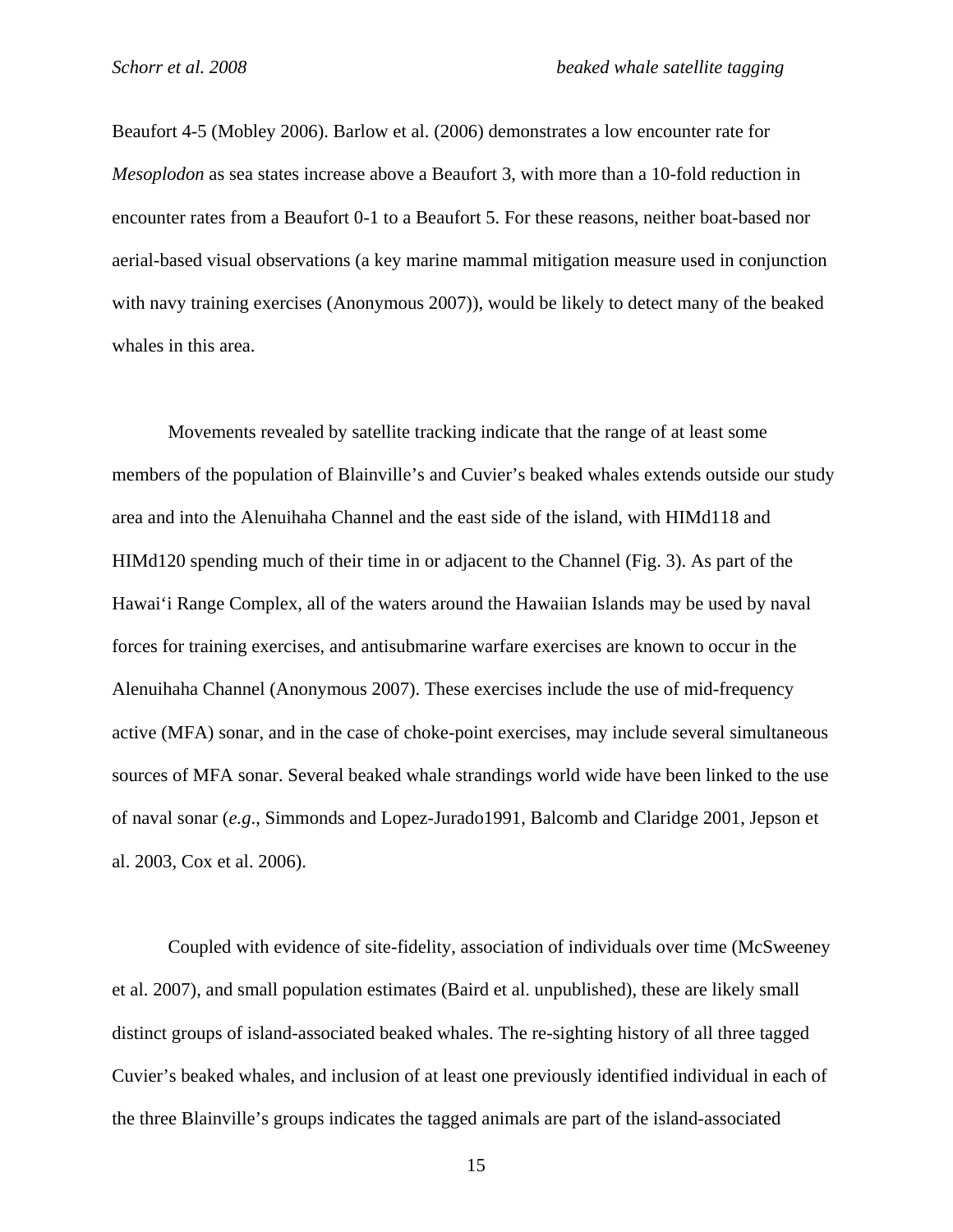Beaufort 4-5 (Mobley 2006). Barlow et al. (2006) demonstrates a low encounter rate for *Mesoplodon* as sea states increase above a Beaufort 3, with more than a 10-fold reduction in encounter rates from a Beaufort 0-1 to a Beaufort 5. For these reasons, neither boat-based nor aerial-based visual observations (a key marine mammal mitigation measure used in conjunction with navy training exercises (Anonymous 2007)), would be likely to detect many of the beaked whales in this area.

Movements revealed by satellite tracking indicate that the range of at least some members of the population of Blainville's and Cuvier's beaked whales extends outside our study area and into the Alenuihaha Channel and the east side of the island, with HIMd118 and HIMd120 spending much of their time in or adjacent to the Channel (Fig. 3). As part of the Hawai'i Range Complex, all of the waters around the Hawaiian Islands may be used by naval forces for training exercises, and antisubmarine warfare exercises are known to occur in the Alenuihaha Channel (Anonymous 2007). These exercises include the use of mid-frequency active (MFA) sonar, and in the case of choke-point exercises, may include several simultaneous sources of MFA sonar. Several beaked whale strandings world wide have been linked to the use of naval sonar (*e.g*., Simmonds and Lopez-Jurado1991, Balcomb and Claridge 2001, Jepson et al. 2003, Cox et al. 2006).

Coupled with evidence of site-fidelity, association of individuals over time (McSweeney et al. 2007), and small population estimates (Baird et al. unpublished), these are likely small distinct groups of island-associated beaked whales. The re-sighting history of all three tagged Cuvier's beaked whales, and inclusion of at least one previously identified individual in each of the three Blainville's groups indicates the tagged animals are part of the island-associated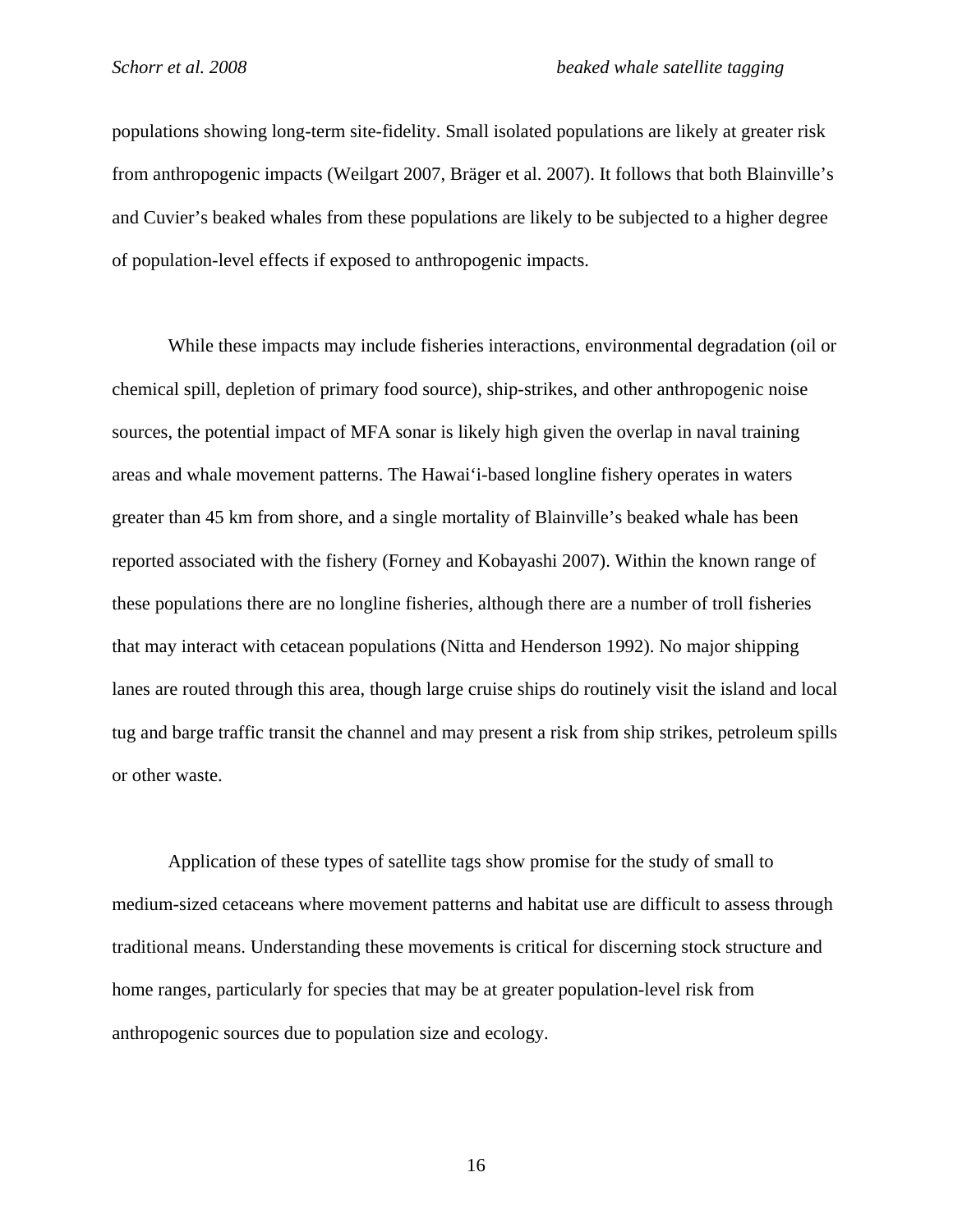populations showing long-term site-fidelity. Small isolated populations are likely at greater risk from anthropogenic impacts (Weilgart 2007, Bräger et al. 2007). It follows that both Blainville's and Cuvier's beaked whales from these populations are likely to be subjected to a higher degree of population-level effects if exposed to anthropogenic impacts.

While these impacts may include fisheries interactions, environmental degradation (oil or chemical spill, depletion of primary food source), ship-strikes, and other anthropogenic noise sources, the potential impact of MFA sonar is likely high given the overlap in naval training areas and whale movement patterns. The Hawai'i-based longline fishery operates in waters greater than 45 km from shore, and a single mortality of Blainville's beaked whale has been reported associated with the fishery (Forney and Kobayashi 2007). Within the known range of these populations there are no longline fisheries, although there are a number of troll fisheries that may interact with cetacean populations (Nitta and Henderson 1992). No major shipping lanes are routed through this area, though large cruise ships do routinely visit the island and local tug and barge traffic transit the channel and may present a risk from ship strikes, petroleum spills or other waste.

Application of these types of satellite tags show promise for the study of small to medium-sized cetaceans where movement patterns and habitat use are difficult to assess through traditional means. Understanding these movements is critical for discerning stock structure and home ranges, particularly for species that may be at greater population-level risk from anthropogenic sources due to population size and ecology.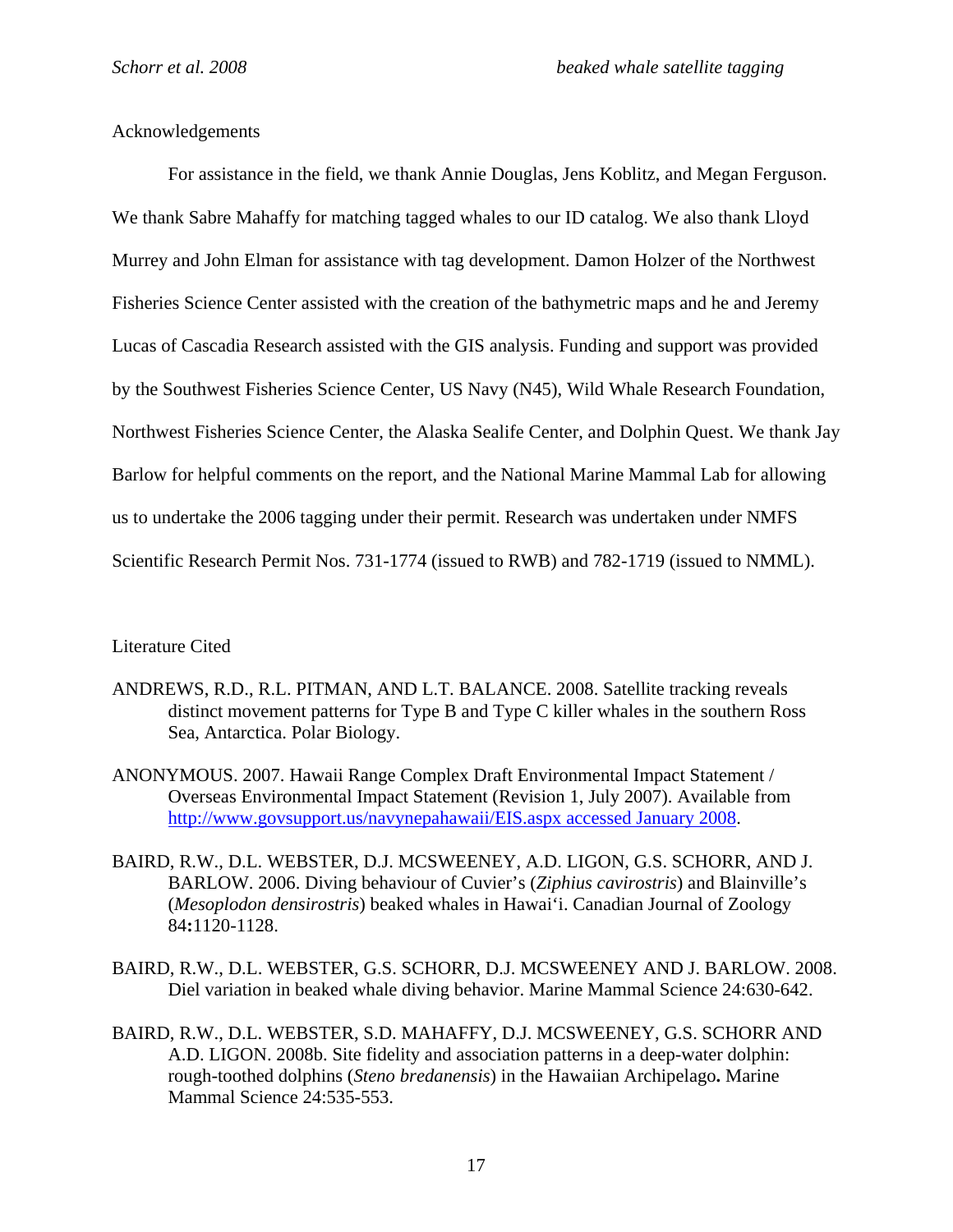## Acknowledgements

For assistance in the field, we thank Annie Douglas, Jens Koblitz, and Megan Ferguson. We thank Sabre Mahaffy for matching tagged whales to our ID catalog. We also thank Lloyd Murrey and John Elman for assistance with tag development. Damon Holzer of the Northwest Fisheries Science Center assisted with the creation of the bathymetric maps and he and Jeremy Lucas of Cascadia Research assisted with the GIS analysis. Funding and support was provided by the Southwest Fisheries Science Center, US Navy (N45), Wild Whale Research Foundation, Northwest Fisheries Science Center, the Alaska Sealife Center, and Dolphin Quest. We thank Jay Barlow for helpful comments on the report, and the National Marine Mammal Lab for allowing us to undertake the 2006 tagging under their permit. Research was undertaken under NMFS Scientific Research Permit Nos. 731-1774 (issued to RWB) and 782-1719 (issued to NMML).

## Literature Cited

- ANDREWS, R.D., R.L. PITMAN, AND L.T. BALANCE. 2008. Satellite tracking reveals distinct movement patterns for Type B and Type C killer whales in the southern Ross Sea, Antarctica. Polar Biology.
- ANONYMOUS. 2007. Hawaii Range Complex Draft Environmental Impact Statement / Overseas Environmental Impact Statement (Revision 1, July 2007). Available from http://www.govsupport.us/navynepahawaii/EIS.aspx accessed January 2008.
- BAIRD, R.W., D.L. WEBSTER, D.J. MCSWEENEY, A.D. LIGON, G.S. SCHORR, AND J. BARLOW. 2006. Diving behaviour of Cuvier's (*Ziphius cavirostris*) and Blainville's (*Mesoplodon densirostris*) beaked whales in Hawai'i. Canadian Journal of Zoology 84**:**1120-1128.
- BAIRD, R.W., D.L. WEBSTER, G.S. SCHORR, D.J. MCSWEENEY AND J. BARLOW. 2008. Diel variation in beaked whale diving behavior. Marine Mammal Science 24:630-642.
- BAIRD, R.W., D.L. WEBSTER, S.D. MAHAFFY, D.J. MCSWEENEY, G.S. SCHORR AND A.D. LIGON. 2008b. Site fidelity and association patterns in a deep-water dolphin: rough-toothed dolphins (*Steno bredanensis*) in the Hawaiian Archipelago**.** Marine Mammal Science 24:535-553.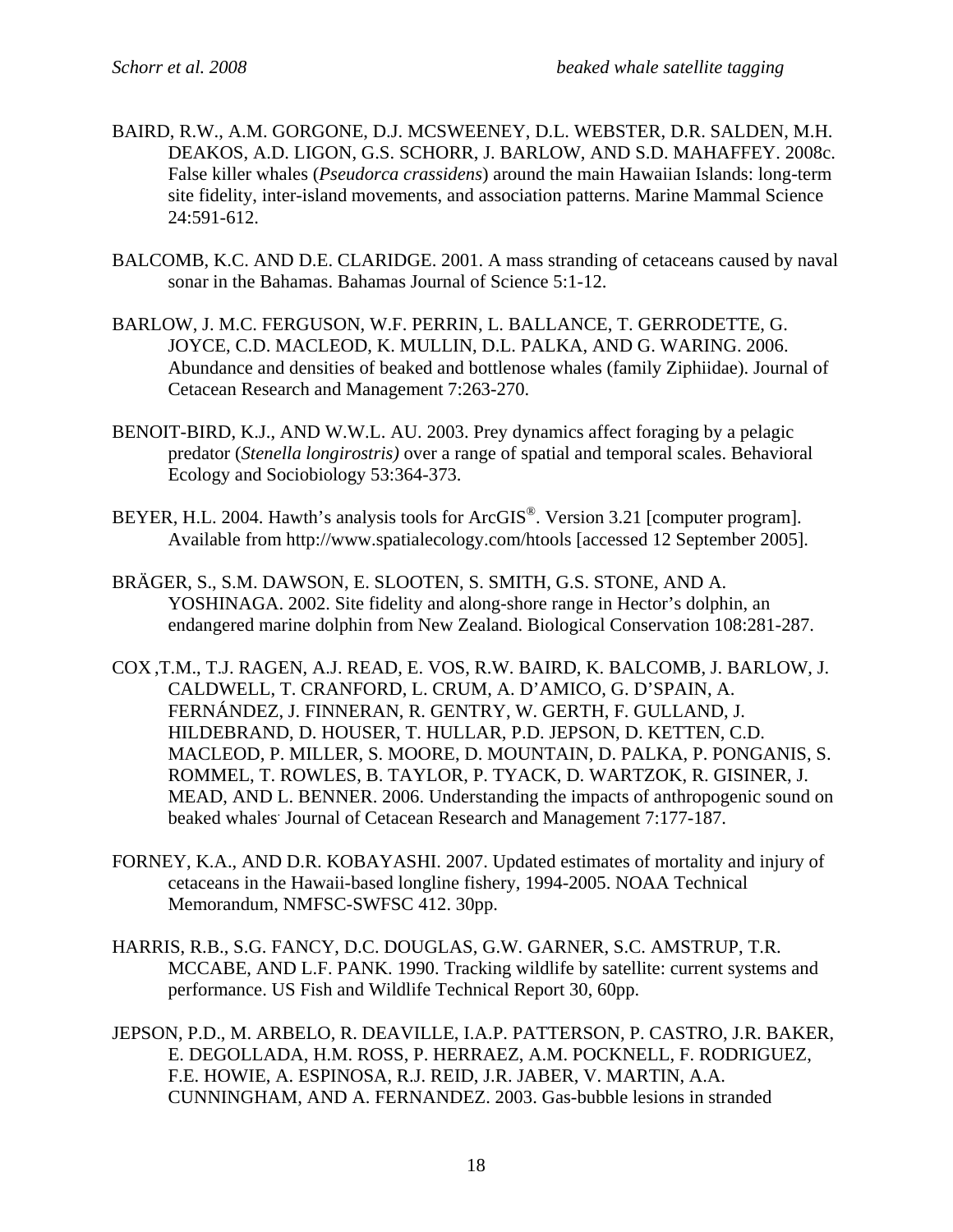- BAIRD, R.W., A.M. GORGONE, D.J. MCSWEENEY, D.L. WEBSTER, D.R. SALDEN, M.H. DEAKOS, A.D. LIGON, G.S. SCHORR, J. BARLOW, AND S.D. MAHAFFEY. 2008c. False killer whales (*Pseudorca crassidens*) around the main Hawaiian Islands: long-term site fidelity, inter-island movements, and association patterns. Marine Mammal Science 24:591-612.
- BALCOMB, K.C. AND D.E. CLARIDGE. 2001. A mass stranding of cetaceans caused by naval sonar in the Bahamas. Bahamas Journal of Science 5:1-12.
- BARLOW, J. M.C. FERGUSON, W.F. PERRIN, L. BALLANCE, T. GERRODETTE, G. JOYCE, C.D. MACLEOD, K. MULLIN, D.L. PALKA, AND G. WARING. 2006. Abundance and densities of beaked and bottlenose whales (family Ziphiidae). Journal of Cetacean Research and Management 7:263-270.
- BENOIT-BIRD, K.J., AND W.W.L. AU. 2003. Prey dynamics affect foraging by a pelagic predator (*Stenella longirostris)* over a range of spatial and temporal scales. Behavioral Ecology and Sociobiology 53:364-373.
- BEYER, H.L. 2004. Hawth's analysis tools for ArcGIS®. Version 3.21 [computer program]. Available from http://www.spatialecology.com/htools [accessed 12 September 2005].
- BRÄGER, S., S.M. DAWSON, E. SLOOTEN, S. SMITH, G.S. STONE, AND A. YOSHINAGA. 2002. Site fidelity and along-shore range in Hector's dolphin, an endangered marine dolphin from New Zealand. Biological Conservation 108:281-287.
- COX ,T.M., T.J. RAGEN, A.J. READ, E. VOS, R.W. BAIRD, K. BALCOMB, J. BARLOW, J. CALDWELL, T. CRANFORD, L. CRUM, A. D'AMICO, G. D'SPAIN, A. FERNÁNDEZ, J. FINNERAN, R. GENTRY, W. GERTH, F. GULLAND, J. HILDEBRAND, D. HOUSER, T. HULLAR, P.D. JEPSON, D. KETTEN, C.D. MACLEOD, P. MILLER, S. MOORE, D. MOUNTAIN, D. PALKA, P. PONGANIS, S. ROMMEL, T. ROWLES, B. TAYLOR, P. TYACK, D. WARTZOK, R. GISINER, J. MEAD, AND L. BENNER. 2006. Understanding the impacts of anthropogenic sound on beaked whales Journal of Cetacean Research and Management 7:177-187.
- FORNEY, K.A., AND D.R. KOBAYASHI. 2007. Updated estimates of mortality and injury of cetaceans in the Hawaii-based longline fishery, 1994-2005. NOAA Technical Memorandum, NMFSC-SWFSC 412. 30pp.
- HARRIS, R.B., S.G. FANCY, D.C. DOUGLAS, G.W. GARNER, S.C. AMSTRUP, T.R. MCCABE, AND L.F. PANK. 1990. Tracking wildlife by satellite: current systems and performance. US Fish and Wildlife Technical Report 30, 60pp.
- JEPSON, P.D., M. ARBELO, R. DEAVILLE, I.A.P. PATTERSON, P. CASTRO, J.R. BAKER, E. DEGOLLADA, H.M. ROSS, P. HERRAEZ, A.M. POCKNELL, F. RODRIGUEZ, F.E. HOWIE, A. ESPINOSA, R.J. REID, J.R. JABER, V. MARTIN, A.A. CUNNINGHAM, AND A. FERNANDEZ. 2003. Gas-bubble lesions in stranded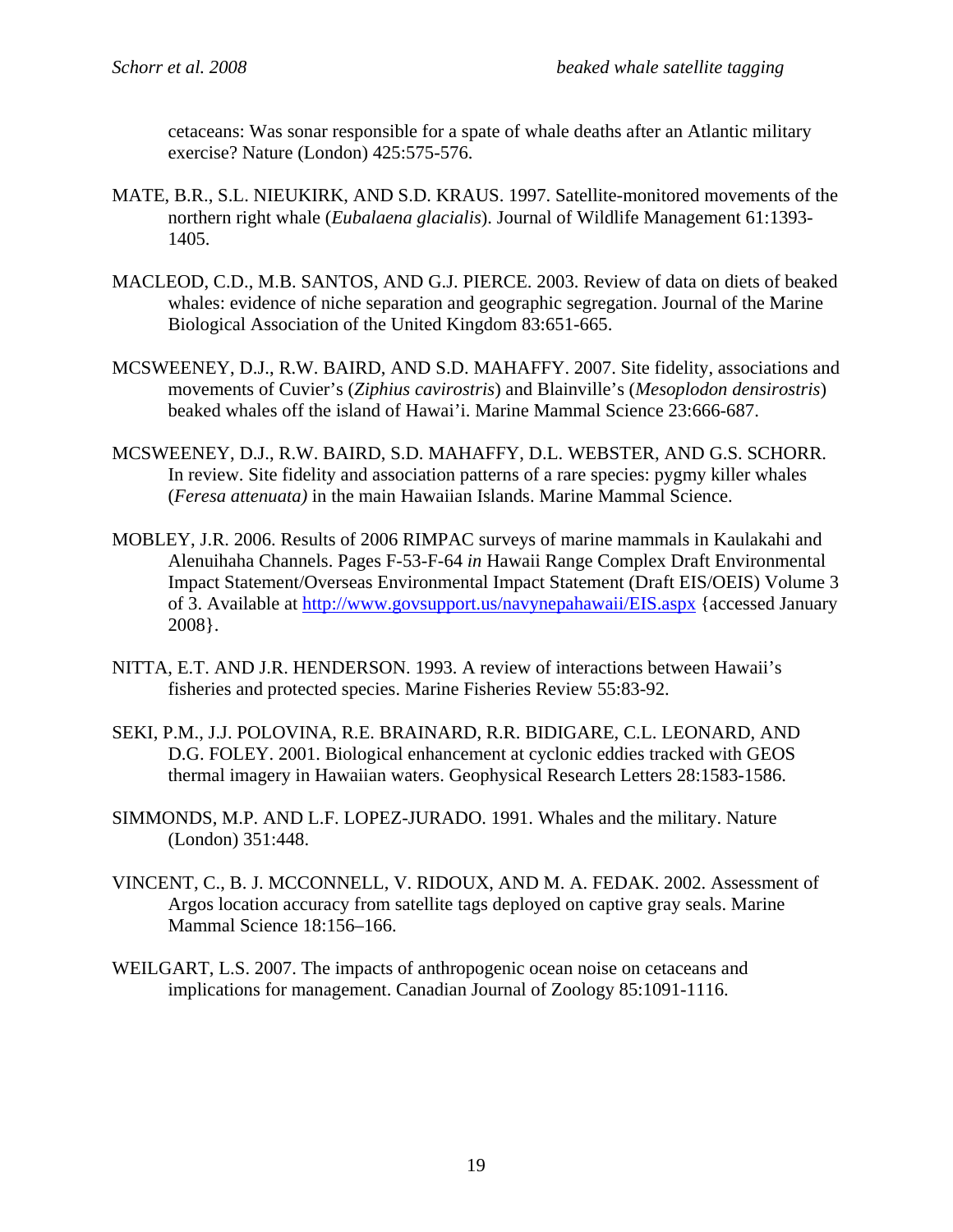cetaceans: Was sonar responsible for a spate of whale deaths after an Atlantic military exercise? Nature (London) 425:575-576.

- MATE, B.R., S.L. NIEUKIRK, AND S.D. KRAUS. 1997. Satellite-monitored movements of the northern right whale (*Eubalaena glacialis*). Journal of Wildlife Management 61:1393- 1405.
- MACLEOD, C.D., M.B. SANTOS, AND G.J. PIERCE. 2003. Review of data on diets of beaked whales: evidence of niche separation and geographic segregation. Journal of the Marine Biological Association of the United Kingdom 83:651-665.
- MCSWEENEY, D.J., R.W. BAIRD, AND S.D. MAHAFFY. 2007. Site fidelity, associations and movements of Cuvier's (*Ziphius cavirostris*) and Blainville's (*Mesoplodon densirostris*) beaked whales off the island of Hawai'i. Marine Mammal Science 23:666-687.
- MCSWEENEY, D.J., R.W. BAIRD, S.D. MAHAFFY, D.L. WEBSTER, AND G.S. SCHORR. In review. Site fidelity and association patterns of a rare species: pygmy killer whales (*Feresa attenuata)* in the main Hawaiian Islands. Marine Mammal Science.
- MOBLEY, J.R. 2006. Results of 2006 RIMPAC surveys of marine mammals in Kaulakahi and Alenuihaha Channels. Pages F-53-F-64 *in* Hawaii Range Complex Draft Environmental Impact Statement/Overseas Environmental Impact Statement (Draft EIS/OEIS) Volume 3 of 3. Available at http://www.govsupport.us/navynepahawaii/EIS.aspx {accessed January 2008}.
- NITTA, E.T. AND J.R. HENDERSON. 1993. A review of interactions between Hawaii's fisheries and protected species. Marine Fisheries Review 55:83-92.
- SEKI, P.M., J.J. POLOVINA, R.E. BRAINARD, R.R. BIDIGARE, C.L. LEONARD, AND D.G. FOLEY. 2001. Biological enhancement at cyclonic eddies tracked with GEOS thermal imagery in Hawaiian waters. Geophysical Research Letters 28:1583-1586.
- SIMMONDS, M.P. AND L.F. LOPEZ-JURADO. 1991. Whales and the military. Nature (London) 351:448.
- VINCENT, C., B. J. MCCONNELL, V. RIDOUX, AND M. A. FEDAK. 2002. Assessment of Argos location accuracy from satellite tags deployed on captive gray seals. Marine Mammal Science 18:156–166.
- WEILGART, L.S. 2007. The impacts of anthropogenic ocean noise on cetaceans and implications for management. Canadian Journal of Zoology 85:1091-1116.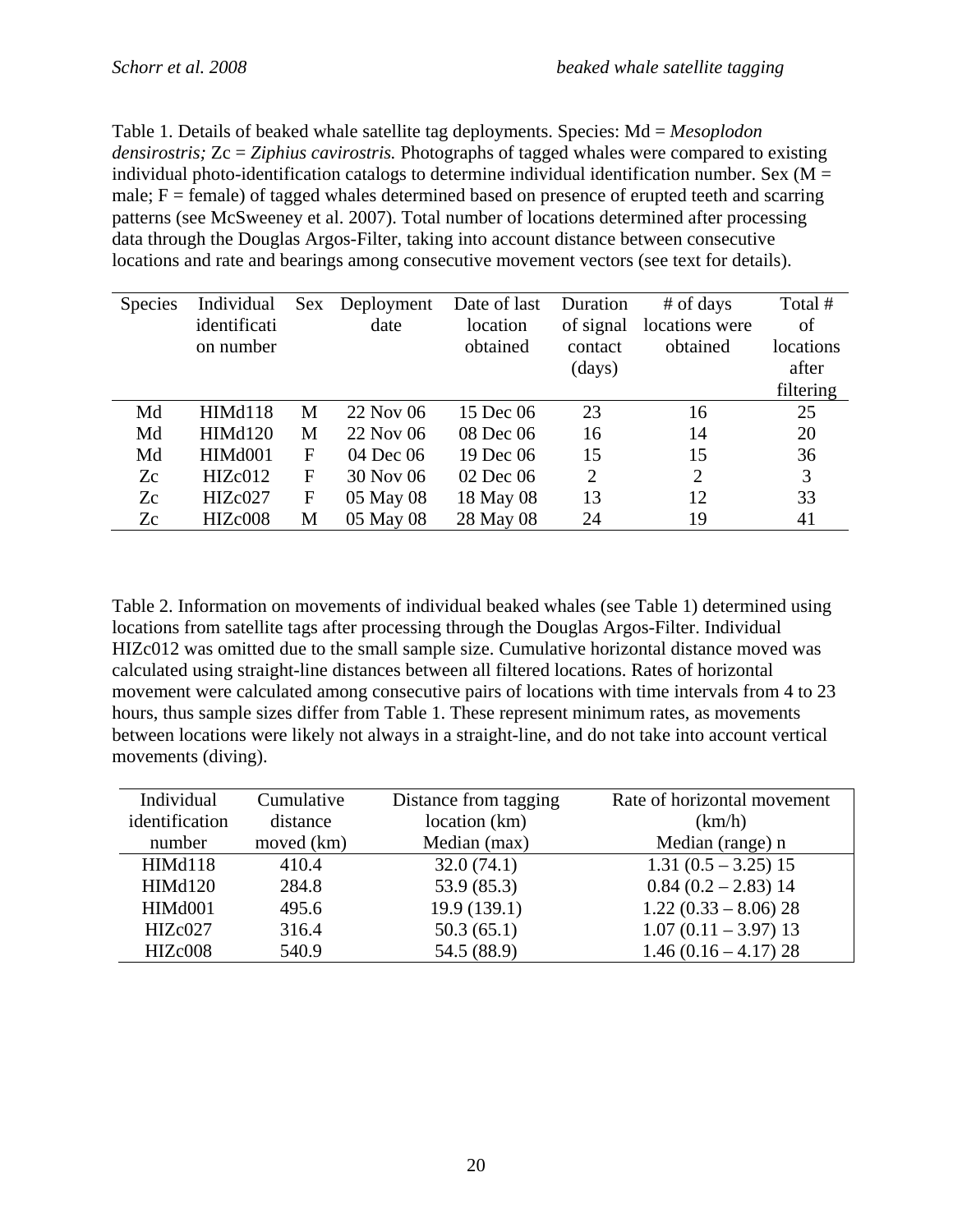Table 1. Details of beaked whale satellite tag deployments. Species: Md = *Mesoplodon densirostris;* Zc = *Ziphius cavirostris.* Photographs of tagged whales were compared to existing individual photo-identification catalogs to determine individual identification number. Sex ( $M =$ male;  $F =$  female) of tagged whales determined based on presence of erupted teeth and scarring patterns (see McSweeney et al. 2007). Total number of locations determined after processing data through the Douglas Argos-Filter, taking into account distance between consecutive locations and rate and bearings among consecutive movement vectors (see text for details).

| <b>Species</b> | Individual     | <b>Sex</b>   | Deployment | Date of last | Duration       | # of days      | Total #   |
|----------------|----------------|--------------|------------|--------------|----------------|----------------|-----------|
|                | identificati   |              | date       | location     | of signal      | locations were | of        |
|                | on number      |              |            | obtained     | contact        | obtained       | locations |
|                |                |              |            |              | (days)         |                | after     |
|                |                |              |            |              |                |                | filtering |
| Md             | HIMd118        | M            | 22 Nov 06  | 15 Dec 06    | 23             | 16             | 25        |
| Md             | <b>HIMd120</b> | M            | 22 Nov 06  | 08 Dec 06    | 16             | 14             | 20        |
| Md             | HIMd001        | F            | 04 Dec 06  | 19 Dec 06    | 15             | 15             | 36        |
| Zc             | HIZc012        | F            | 30 Nov 06  | 02 Dec 06    | $\overline{2}$ | $\overline{2}$ | 3         |
| Zc             | HIZc027        | $\mathbf{F}$ | 05 May 08  | 18 May 08    | 13             | 12             | 33        |
| Zc             | HIZc008        | M            | 05 May 08  | 28 May 08    | 24             | 19             | 41        |

Table 2. Information on movements of individual beaked whales (see Table 1) determined using locations from satellite tags after processing through the Douglas Argos-Filter. Individual HIZc012 was omitted due to the small sample size. Cumulative horizontal distance moved was calculated using straight-line distances between all filtered locations. Rates of horizontal movement were calculated among consecutive pairs of locations with time intervals from 4 to 23 hours, thus sample sizes differ from Table 1. These represent minimum rates, as movements between locations were likely not always in a straight-line, and do not take into account vertical movements (diving).

| Individual     | Cumulative | Distance from tagging | Rate of horizontal movement |
|----------------|------------|-----------------------|-----------------------------|
| identification | distance   | location (km)         | (km/h)                      |
| number         | moved (km) | Median (max)          | Median (range) n            |
| HIMd118        | 410.4      | 32.0(74.1)            | $1.31(0.5 - 3.25)15$        |
| <b>HIMd120</b> | 284.8      | 53.9 (85.3)           | $0.84(0.2 - 2.83)14$        |
| <b>HIMd001</b> | 495.6      | 19.9(139.1)           | $1.22(0.33 - 8.06)28$       |
| HIZc027        | 316.4      | 50.3(65.1)            | $1.07(0.11 - 3.97)$ 13      |
| HIZc008        | 540.9      | 54.5 (88.9)           | $1.46(0.16 - 4.17)$ 28      |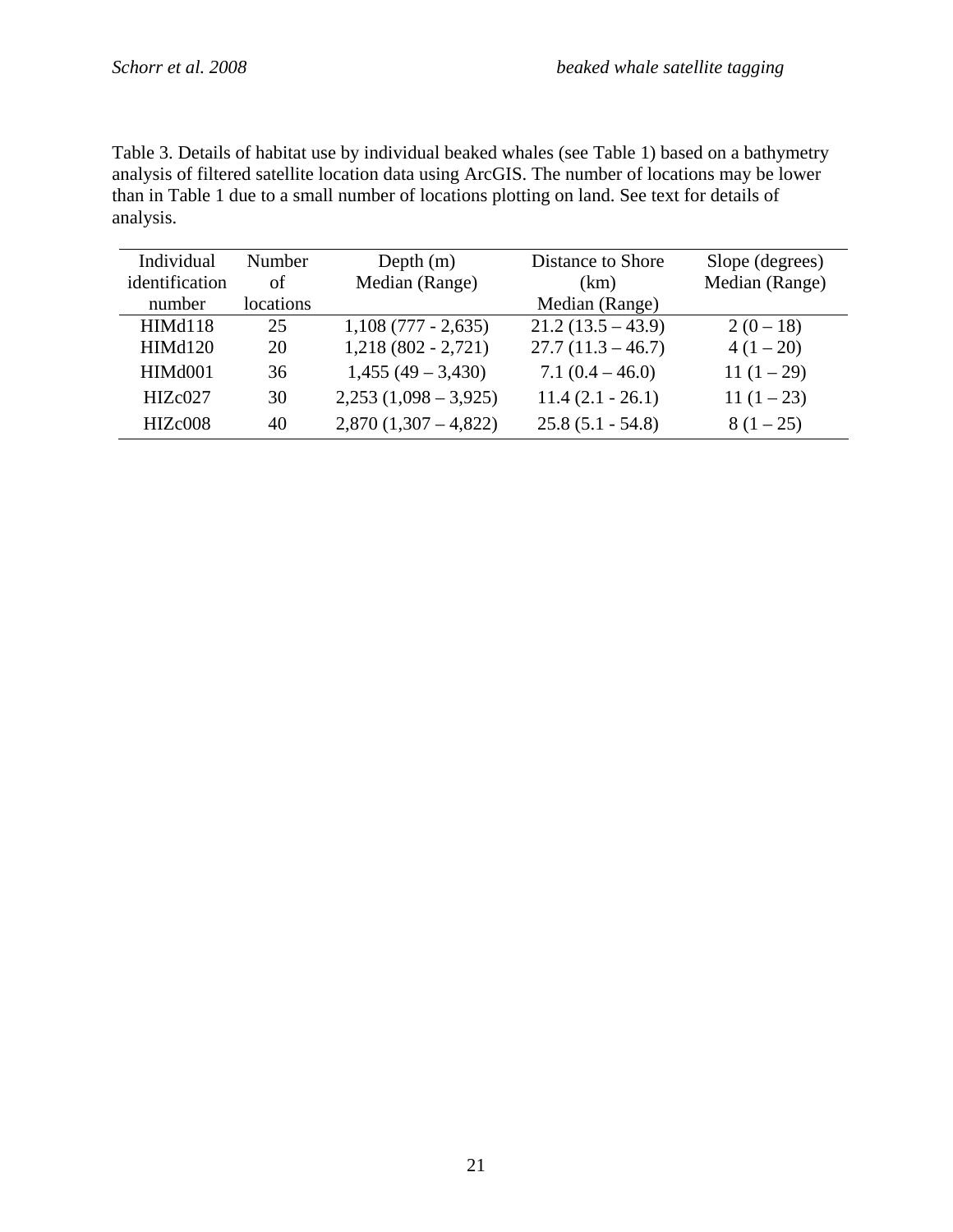Table 3. Details of habitat use by individual beaked whales (see Table 1) based on a bathymetry analysis of filtered satellite location data using ArcGIS. The number of locations may be lower than in Table 1 due to a small number of locations plotting on land. See text for details of analysis.

| Individual               | <b>Number</b>   | Depth $(m)$               | Distance to Shore      | Slope (degrees) |
|--------------------------|-----------------|---------------------------|------------------------|-----------------|
| identification<br>number | οf<br>locations | Median (Range)            | (km)<br>Median (Range) | Median (Range)  |
| HIMd118                  | 25              | $1,108(777 - 2,635)$      | $21.2(13.5 - 43.9)$    | $2(0-18)$       |
| HIMd120                  | 20              | $1,218(802 - 2,721)$      | $27.7(11.3 - 46.7)$    | $4(1-20)$       |
| HIM <sub>d</sub> 001     | 36              | $1,455(49 - 3,430)$       | $7.1(0.4-46.0)$        | 11 $(1-29)$     |
| HIZc027                  | 30              | $2,253$ $(1,098 - 3,925)$ | $11.4(2.1 - 26.1)$     | $11(1-23)$      |
| HIZc008                  | 40              | $2,870(1,307-4,822)$      | $25.8(5.1 - 54.8)$     | $8(1-25)$       |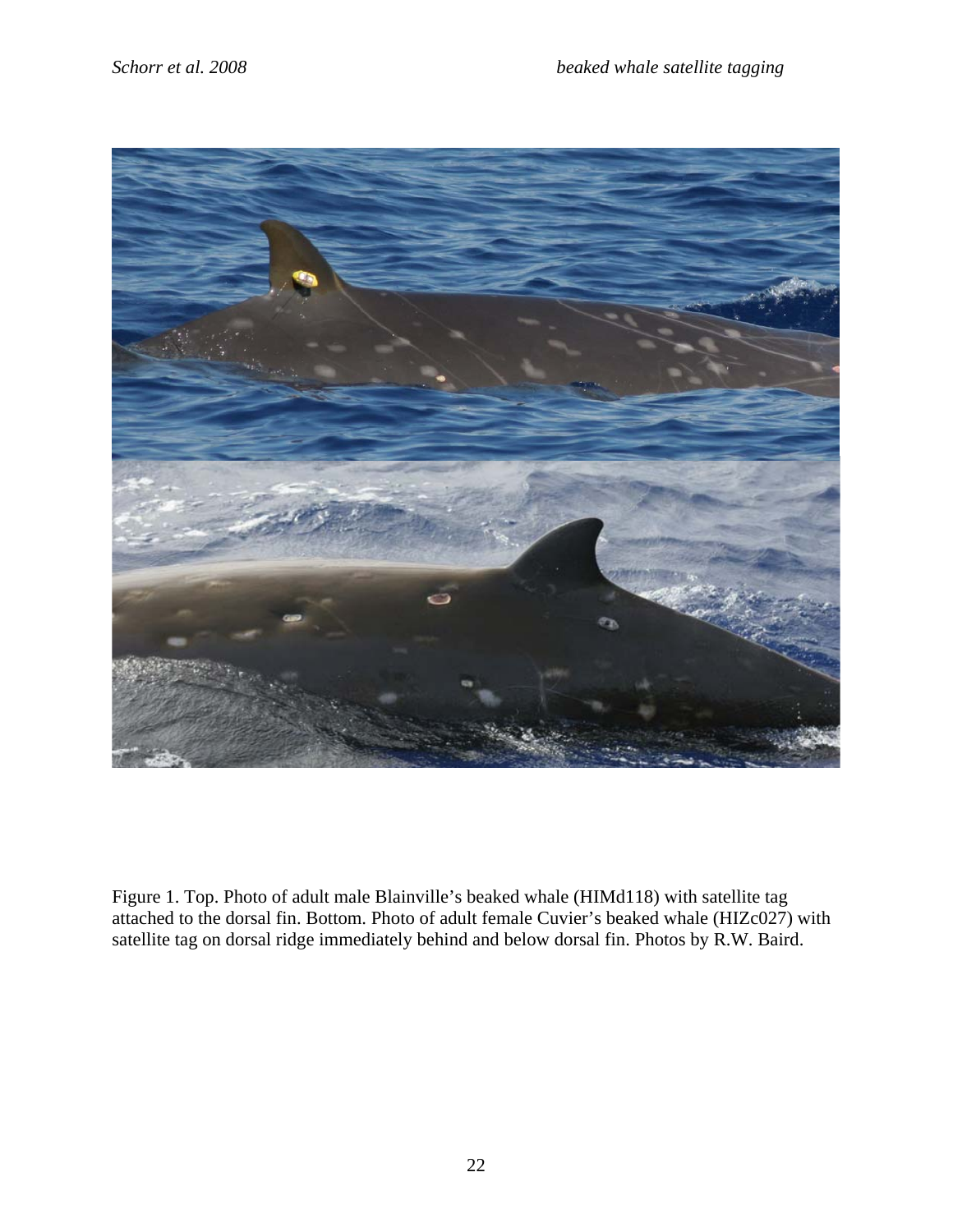

Figure 1. Top. Photo of adult male Blainville's beaked whale (HIMd118) with satellite tag attached to the dorsal fin. Bottom. Photo of adult female Cuvier's beaked whale (HIZc027) with satellite tag on dorsal ridge immediately behind and below dorsal fin. Photos by R.W. Baird.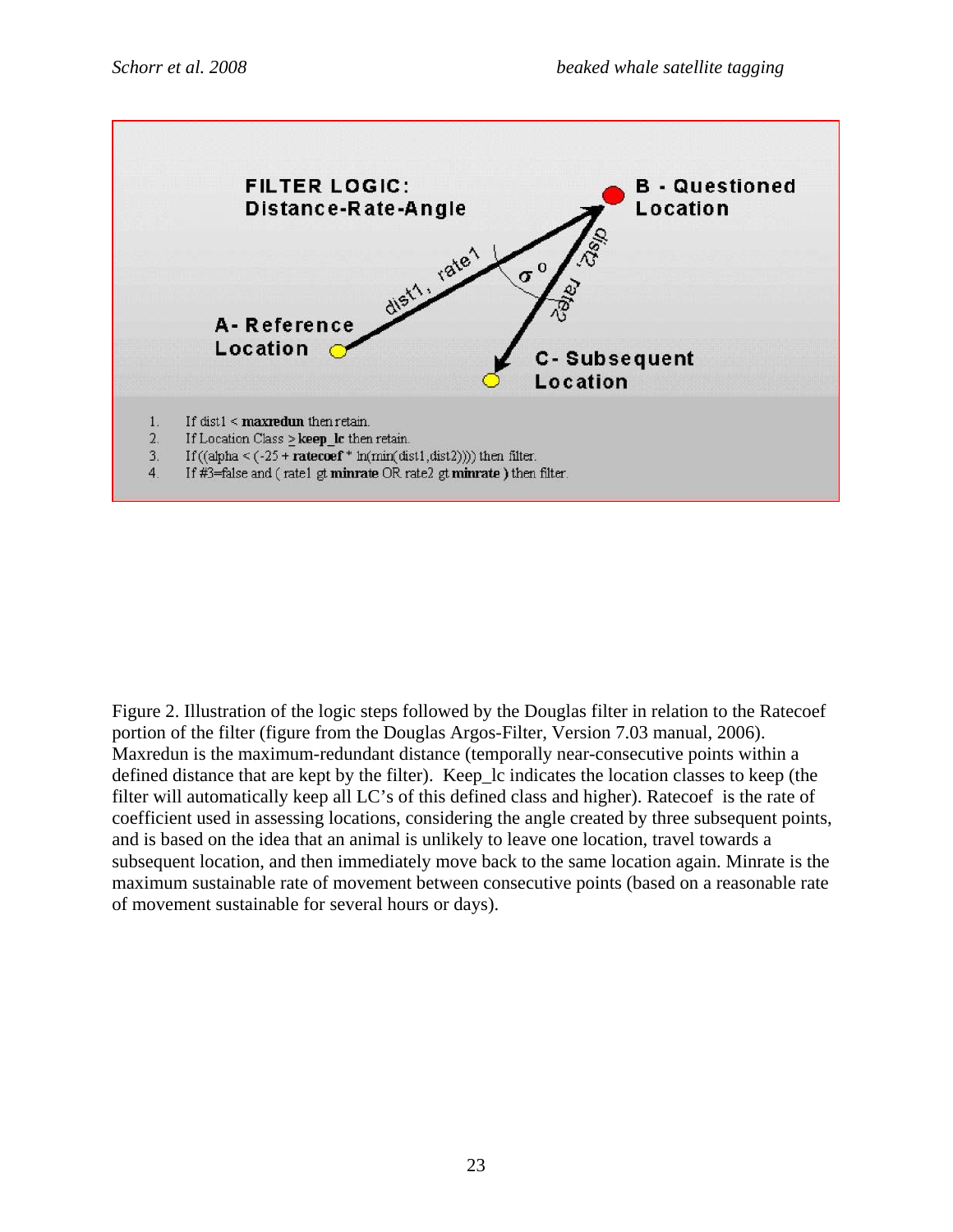

Figure 2. Illustration of the logic steps followed by the Douglas filter in relation to the Ratecoef portion of the filter (figure from the Douglas Argos-Filter, Version 7.03 manual, 2006). Maxredun is the maximum-redundant distance (temporally near-consecutive points within a defined distance that are kept by the filter). Keep lc indicates the location classes to keep (the filter will automatically keep all LC's of this defined class and higher). Ratecoef is the rate of coefficient used in assessing locations, considering the angle created by three subsequent points, and is based on the idea that an animal is unlikely to leave one location, travel towards a subsequent location, and then immediately move back to the same location again. Minrate is the maximum sustainable rate of movement between consecutive points (based on a reasonable rate of movement sustainable for several hours or days).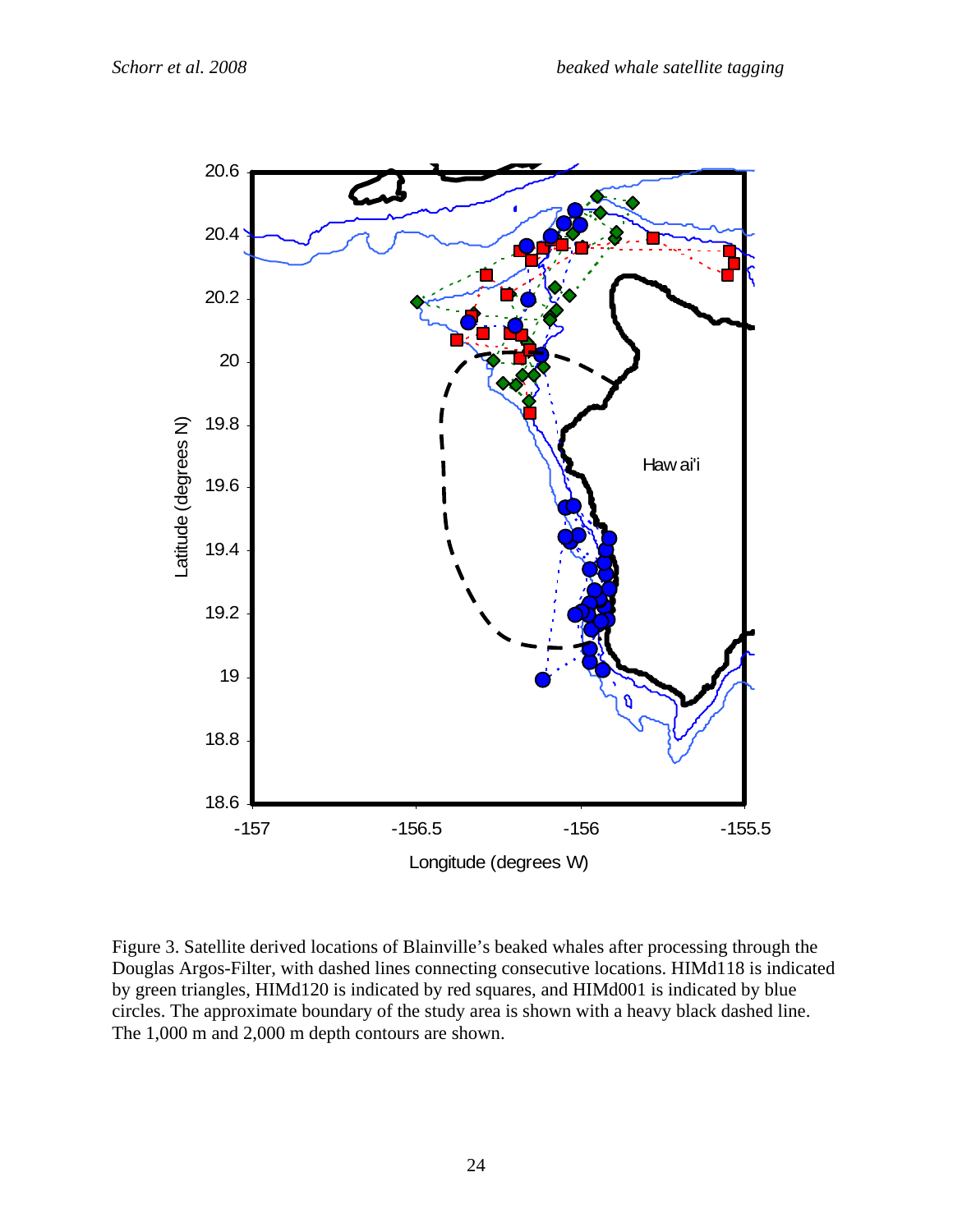

Figure 3. Satellite derived locations of Blainville's beaked whales after processing through the Douglas Argos-Filter, with dashed lines connecting consecutive locations. HIMd118 is indicated by green triangles, HIMd120 is indicated by red squares, and HIMd001 is indicated by blue circles. The approximate boundary of the study area is shown with a heavy black dashed line. The 1,000 m and 2,000 m depth contours are shown.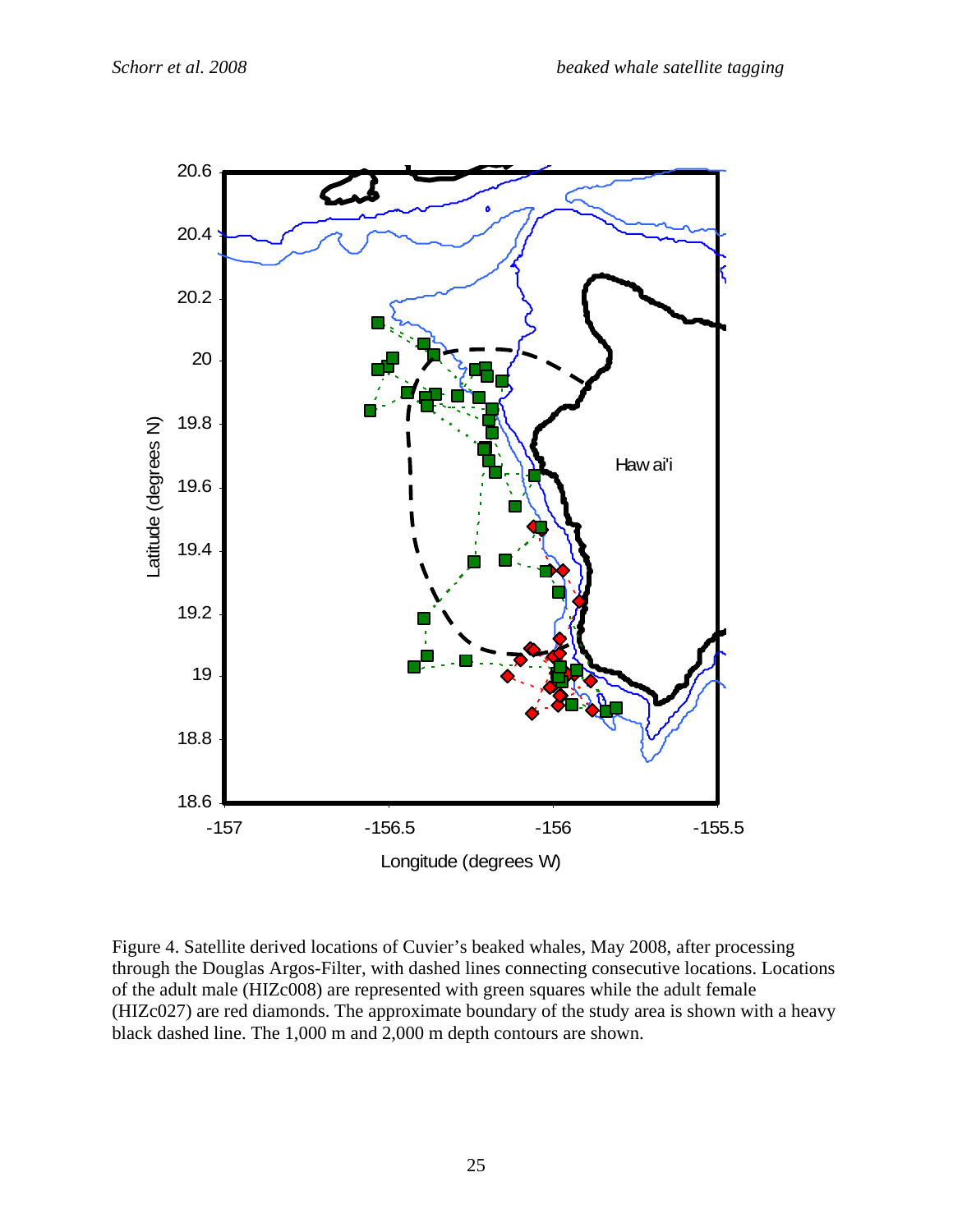

Figure 4. Satellite derived locations of Cuvier's beaked whales, May 2008, after processing through the Douglas Argos-Filter, with dashed lines connecting consecutive locations. Locations of the adult male (HIZc008) are represented with green squares while the adult female (HIZc027) are red diamonds. The approximate boundary of the study area is shown with a heavy black dashed line. The 1,000 m and 2,000 m depth contours are shown.